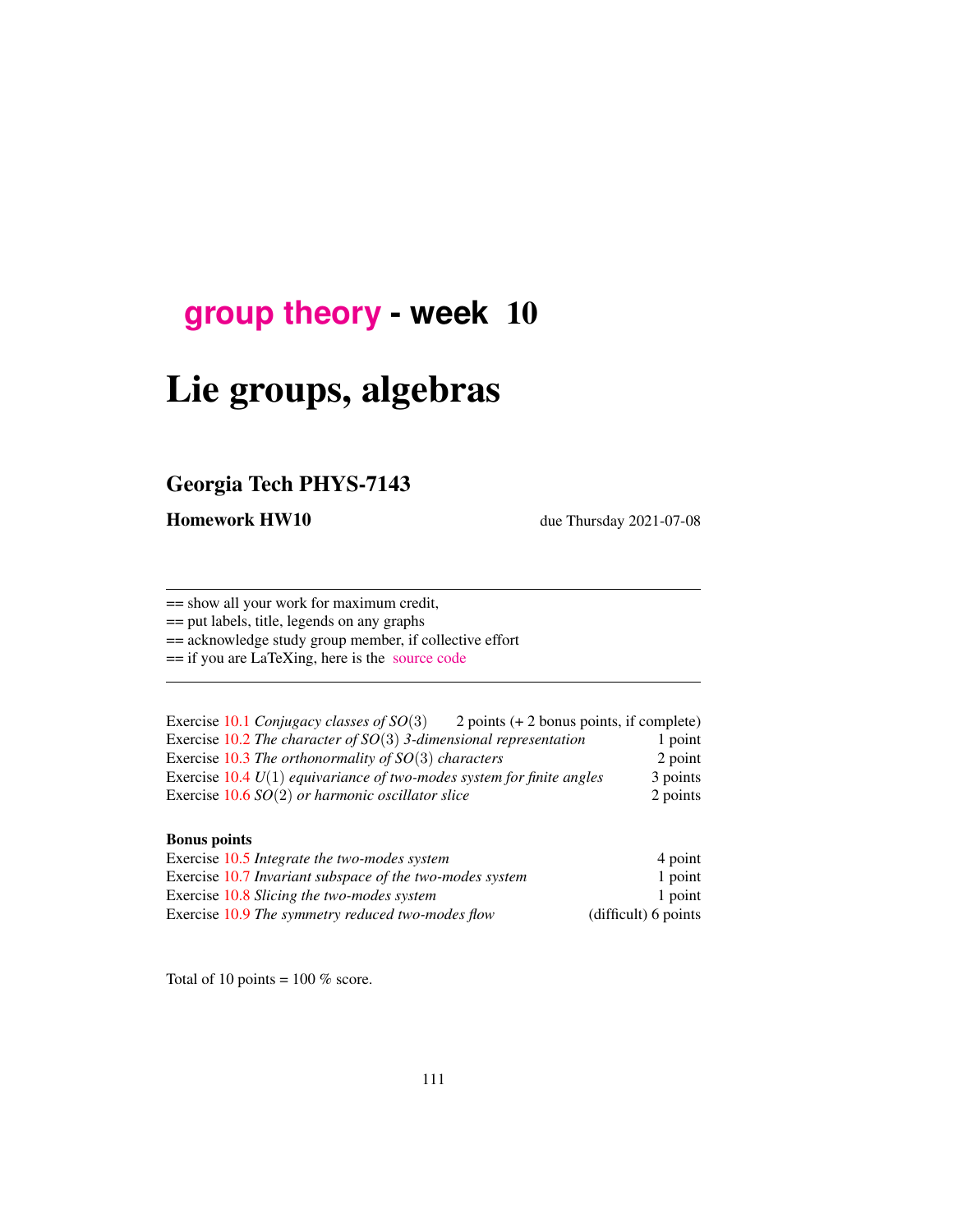# **[group theory](http://birdtracks.eu/course3/schedule.html) - week** 10

# Lie groups, algebras

# Georgia Tech PHYS-7143

Homework HW10 due Thursday 2021-07-08

== show all your work for maximum credit,

== put labels, title, legends on any graphs

== acknowledge study group member, if collective effort

== if you are LaTeXing, here is the [source code](http://birdtracks.eu/course3/exerWeek10.tex)

| Exercise 10.1 Conjugacy classes of $SO(3)$                              | 2 points $(+ 2$ bonus points, if complete) |          |
|-------------------------------------------------------------------------|--------------------------------------------|----------|
| Exercise 10.2 The character of $SO(3)$ 3-dimensional representation     |                                            | 1 point  |
| Exercise 10.3 The orthonormality of $SO(3)$ characters                  |                                            | 2 point  |
| Exercise $10.4 U(1)$ equivariance of two-modes system for finite angles |                                            | 3 points |
| Exercise $10.6$ SO(2) or harmonic oscillator slice                      |                                            | 2 points |

### Bonus points

| Exercise 10.5 Integrate the two-modes system             | 4 point              |
|----------------------------------------------------------|----------------------|
| Exercise 10.7 Invariant subspace of the two-modes system | 1 point              |
| Exercise 10.8 Slicing the two-modes system               | 1 point              |
| Exercise 10.9 The symmetry reduced two-modes flow        | (difficult) 6 points |

Total of 10 points =  $100\%$  score.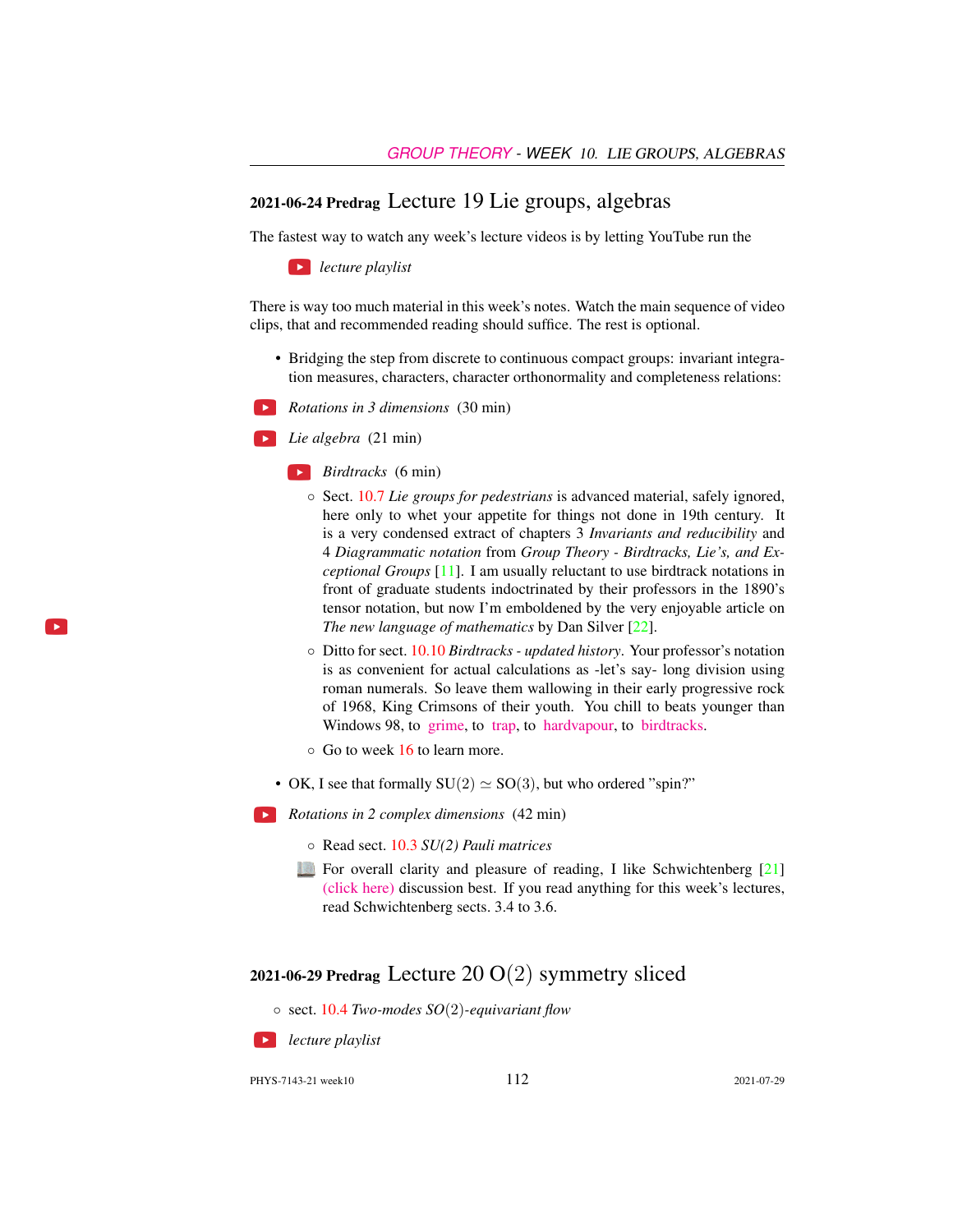### 2021-06-24 Predrag Lecture 19 Lie groups, algebras

The fastest way to watch any week's lecture videos is by letting YouTube run the

*lecture playlist*

There is way too much material in this week's notes. Watch the main sequence of video clips, that and recommended reading should suffice. The rest is optional.

- Bridging the step from discrete to continuous compact groups: invariant integration measures, characters, character orthonormality and completeness relations:
- *Rotations in 3 dimensions* (30 min)

*Lie algebra* (21 min)

- *Birdtracks* (6 min)
	- Sect. [10.7](#page-10-0) *Lie groups for pedestrians* is advanced material, safely ignored, here only to whet your appetite for things not done in 19th century. It is a very condensed extract of chapters 3 *Invariants and reducibility* and 4 *Diagrammatic notation* from *Group Theory - Birdtracks, Lie's, and Exceptional Groups* [\[11\]](#page-20-0). I am usually reluctant to use birdtrack notations in front of graduate students indoctrinated by their professors in the 1890's tensor notation, but now I'm emboldened by the very enjoyable article on *The new language of mathematics* by Dan Silver [\[22\]](#page-21-3).
	- Ditto for sect. [10.10](#page-19-0) *Birdtracks updated history*. Your professor's notation is as convenient for actual calculations as -let's say- long division using roman numerals. So leave them wallowing in their early progressive rock of 1968, King Crimsons of their youth. You chill to beats younger than Windows 98, to [grime,](https://www.youtube.com/watch?v=RqQGUJK7Na4) to [trap,](https://www.youtube.com/watch?v=i_kF4zLNKio) to [hardvapour,](https://antifurdigital.bandcamp.com/album/hardvapour-2) to [birdtracks.](https://www.youtube.com/watch?v=XMGbY1csVnI)
	- Go to week 16 to learn more.
- OK, I see that formally  $SU(2) \simeq SO(3)$ , but who ordered "spin?"
- *Rotations in 2 complex dimensions* (42 min)
	- Read sect. [10.3](#page-5-0) *SU(2) Pauli matrices*
	- For overall clarity and pleasure of reading, I like Schwichtenberg [\[21\]](#page-21-4) [\(click here\)](http://ChaosBook.org/library/Schwicht15-2edited.pdf) discussion best. If you read anything for this week's lectures, read Schwichtenberg sects. 3.4 to 3.6.

## 2021-06-29 Predrag Lecture  $20 O(2)$  symmetry sliced

◦ sect. [10.4](#page-5-1) *Two-modes SO*(2)*-equivariant flow*

**SEP** *lecture playlist*

PHYS-7143-21 week10 112 2021-07-29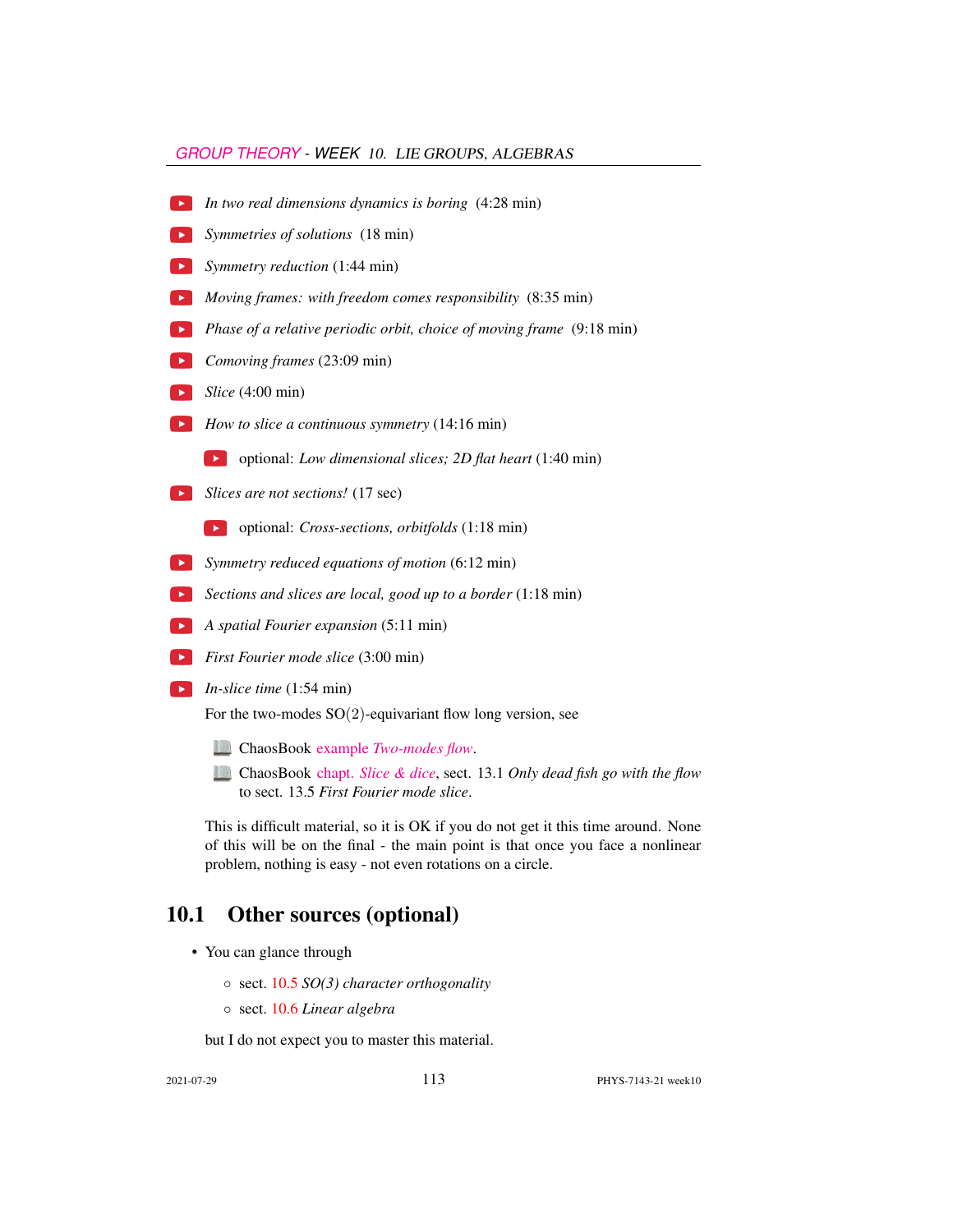### *[GROUP THEORY](HTTP://BIRDTRACKS.EU/COURSE3/SCHEDULE.HTML) - WEEK* 10. LIE GROUPS, ALGEBRAS

- *In two real dimensions dynamics is boring* (4:28 min)
- *Symmetries of solutions* (18 min)
- *Symmetry reduction* (1:44 min)
- *Moving frames: with freedom comes responsibility* (8:35 min)
- **Phase of a relative periodic orbit, choice of moving frame** (9:18 min)
- *Comoving frames* (23:09 min)
- *Slice* (4:00 min)
- *How to slice a continuous symmetry* (14:16 min)

optional: *Low dimensional slices; 2D flat heart* (1:40 min)

- **Slices are not sections!** (17 sec)
	- optional: *Cross-sections, orbitfolds* (1:18 min)
- *Symmetry reduced equations of motion* (6:12 min)
- *Sections and slices are local, good up to a border* (1:18 min)
- *A spatial Fourier expansion* (5:11 min)
- *First Fourier mode slice* (3:00 min)
- *In-slice time* (1:54 min)

For the two-modes  $SO(2)$ -equivariant flow long version, see

- ChaosBook example *[Two-modes flow](http://ChaosBook.org/chapters/ChaosBook.pdf#exmple.12.8)*.
- ChaosBook chapt. *[Slice & dice](http://ChaosBook.org/chapters/ChaosBook.pdf#chapter.13)*, sect. 13.1 *Only dead fish go with the flow* to sect. 13.5 *First Fourier mode slice*.

This is difficult material, so it is OK if you do not get it this time around. None of this will be on the final - the main point is that once you face a nonlinear problem, nothing is easy - not even rotations on a circle.

# 10.1 Other sources (optional)

- You can glance through
	- sect. [10.5](#page-7-0) *SO(3) character orthogonality*
	- sect. [10.6](#page-8-0) *Linear algebra*

but I do not expect you to master this material.

2021-07-29 113 PHYS-7143-21 week10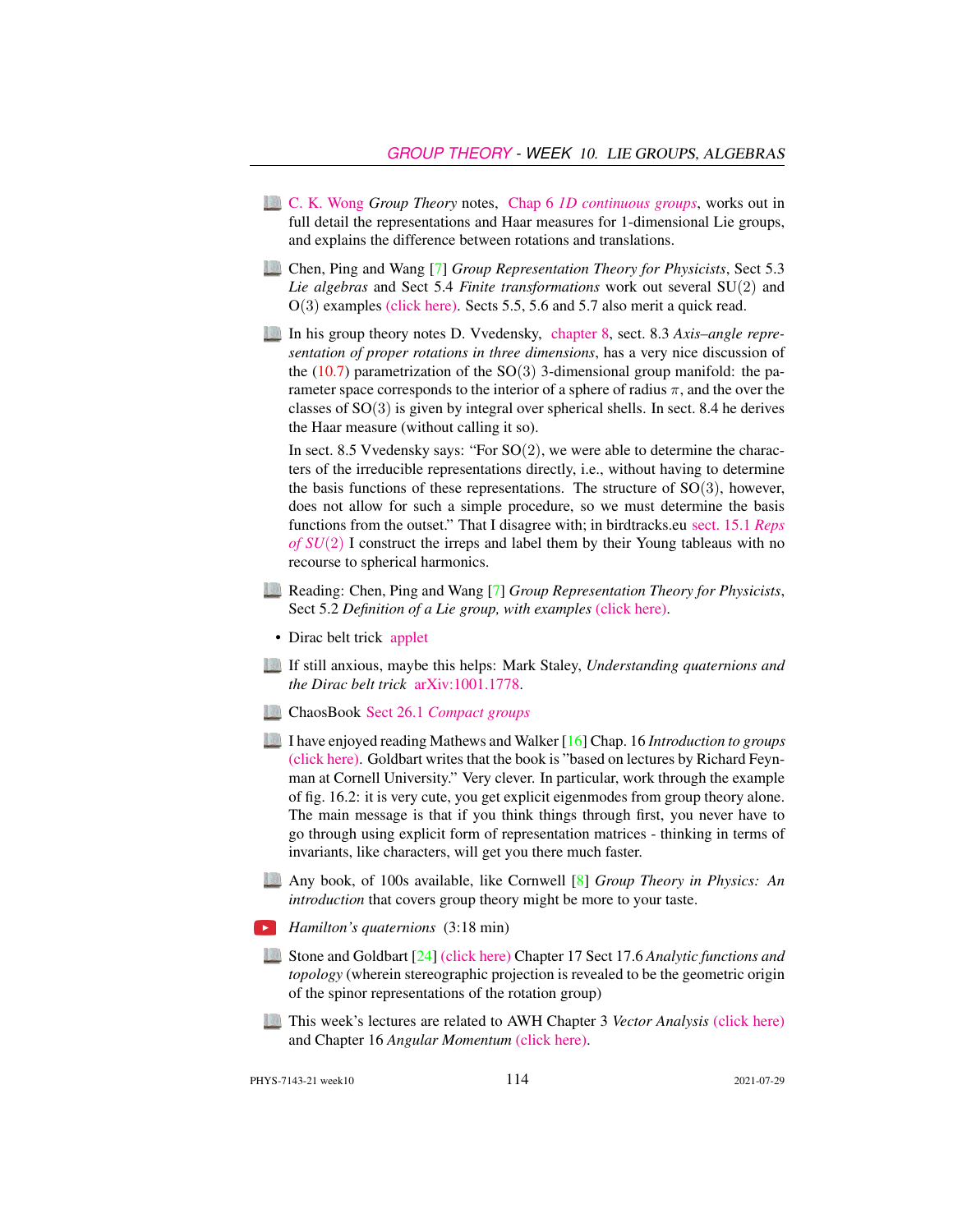- [C. K. Wong](http://ckw.phys.ncku.edu.tw/) *Group Theory* notes, Chap 6 *[1D continuous groups](http://ckw.phys.ncku.edu.tw/public/pub/Notes/Mathematics/GroupTheory/Tung/Powerpoint/6._1DContinuousGroups.ppt)*, works out in full detail the representations and Haar measures for 1-dimensional Lie groups, and explains the difference between rotations and translations.
- Chen, Ping and Wang [\[7\]](#page-20-1) *Group Representation Theory for Physicists*, Sect 5.3 *Lie algebras* and Sect 5.4 *Finite transformations* work out several SU(2) and O(3) examples [\(click here\).](http://ChaosBook.org/library/Chen5-2.pdf) Sects 5.5, 5.6 and 5.7 also merit a quick read.
- In his group theory notes D. Vvedensky, [chapter 8,](http://birdtracks.eu/course3/VvedenskyCh8.pdf) sect. 8.3 *Axis–angle representation of proper rotations in three dimensions*, has a very nice discussion of the  $(10.7)$  parametrization of the SO(3) 3-dimensional group manifold: the parameter space corresponds to the interior of a sphere of radius  $\pi$ , and the over the classes of  $SO(3)$  is given by integral over spherical shells. In sect. 8.4 he derives the Haar measure (without calling it so).

In sect. 8.5 Vvedensky says: "For  $SO(2)$ , we were able to determine the characters of the irreducible representations directly, i.e., without having to determine the basis functions of these representations. The structure of  $SO(3)$ , however, does not allow for such a simple procedure, so we must determine the basis functions from the outset." That I disagree with; in birdtracks.eu [sect. 15.1](http://birdtracks.eu/version9.0/GroupTheory.pdf#section.15.1) *Reps [of SU](http://birdtracks.eu/version9.0/GroupTheory.pdf#section.15.1)*(2) I construct the irreps and label them by their Young tableaus with no recourse to spherical harmonics.

- Reading: Chen, Ping and Wang [\[7\]](#page-20-1) *Group Representation Theory for Physicists*, Sect 5.2 *Definition of a Lie group, with examples* [\(click here\).](http://ChaosBook.org/library/Chen5-2.pdf)
- Dirac belt trick [applet](https://www.gregegan.net/APPLETS/21/21.html)
- If still anxious, maybe this helps: Mark Staley, *Understanding quaternions and the Dirac belt trick* [arXiv:1001.1778.](http://arXiv.org/abs/1001.1778)
- ChaosBook Sect 26.1 *[Compact groups](http://ChaosBook.org/chapters/ChaosBook.pdf#section.26.1)*
- I have enjoyed reading Mathews and Walker [\[16\]](#page-21-5) Chap. 16 *Introduction to groups* [\(click here\).](http://ChaosBook.org/library/MathWalk73.pdf) Goldbart writes that the book is "based on lectures by Richard Feynman at Cornell University." Very clever. In particular, work through the example of fig. 16.2: it is very cute, you get explicit eigenmodes from group theory alone. The main message is that if you think things through first, you never have to go through using explicit form of representation matrices - thinking in terms of invariants, like characters, will get you there much faster.
- Any book, of 100s available, like Cornwell [\[8\]](#page-20-2) *Group Theory in Physics: An introduction* that covers group theory might be more to your taste.
- *Hamilton's quaternions* (3:18 min)
- Stone and Goldbart [\[24\]](#page-21-6) [\(click here\)](http://ChaosBook.org/library/StGoChap17.pdf) Chapter 17 Sect 17.6 *Analytic functions and topology* (wherein stereographic projection is revealed to be the geometric origin of the spinor representations of the rotation group)
- This week's lectures are related to AWH Chapter 3 *Vector Analysis* [\(click here\)](http://ChaosBook.org/library/ArWeHa13chap3.pdf) and Chapter 16 *Angular Momentum* [\(click here\).](http://ChaosBook.org/library/ArWeHa13chap16.pdf)

PHYS-7143-21 week10 114 2021-07-29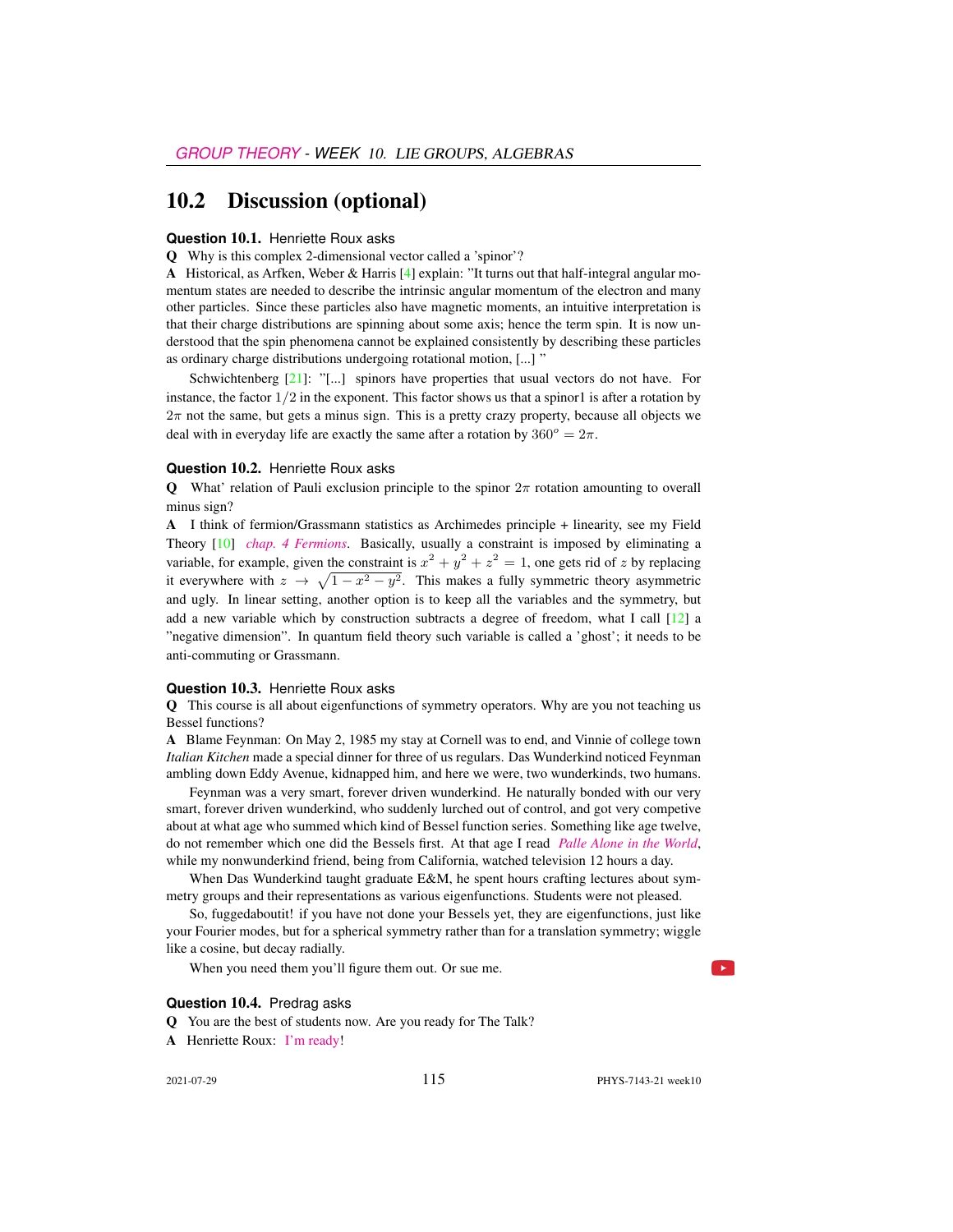### 10.2 Discussion (optional)

#### **Question 10.1.** Henriette Roux asks

Q Why is this complex 2-dimensional vector called a 'spinor'?

A Historical, as Arfken, Weber & Harris [\[4\]](#page-20-3) explain: "It turns out that half-integral angular momentum states are needed to describe the intrinsic angular momentum of the electron and many other particles. Since these particles also have magnetic moments, an intuitive interpretation is that their charge distributions are spinning about some axis; hence the term spin. It is now understood that the spin phenomena cannot be explained consistently by describing these particles as ordinary charge distributions undergoing rotational motion, [...] "

Schwichtenberg  $[21]$ : "[...] spinors have properties that usual vectors do not have. For instance, the factor  $1/2$  in the exponent. This factor shows us that a spinor1 is after a rotation by  $2\pi$  not the same, but gets a minus sign. This is a pretty crazy property, because all objects we deal with in everyday life are exactly the same after a rotation by  $360^\circ = 2\pi$ .

### **Question 10.2.** Henriette Roux asks

**Q** What' relation of Pauli exclusion principle to the spinor  $2\pi$  rotation amounting to overall minus sign?

A I think of fermion/Grassmann statistics as Archimedes principle + linearity, see my Field Theory [\[10\]](#page-20-4) *[chap. 4 Fermions](http://chaosbook.org/FieldTheory/04-Fermions.pdf)*. Basically, usually a constraint is imposed by eliminating a variable, for example, given the constraint is  $x^2 + y^2 + z^2 = 1$ , one gets rid of z by replacing it everywhere with  $z \to \sqrt{1-x^2-y^2}$ . This makes a fully symmetric theory asymmetric and ugly. In linear setting, another option is to keep all the variables and the symmetry, but add a new variable which by construction subtracts a degree of freedom, what I call  $\lceil 12 \rceil$  a "negative dimension". In quantum field theory such variable is called a 'ghost'; it needs to be anti-commuting or Grassmann.

#### **Question** 10.3. Henriette Roux asks

Q This course is all about eigenfunctions of symmetry operators. Why are you not teaching us Bessel functions?

A Blame Feynman: On May 2, 1985 my stay at Cornell was to end, and Vinnie of college town *Italian Kitchen* made a special dinner for three of us regulars. Das Wunderkind noticed Feynman ambling down Eddy Avenue, kidnapped him, and here we were, two wunderkinds, two humans.

Feynman was a very smart, forever driven wunderkind. He naturally bonded with our very smart, forever driven wunderkind, who suddenly lurched out of control, and got very competive about at what age who summed which kind of Bessel function series. Something like age twelve, do not remember which one did the Bessels first. At that age I read *[Palle Alone in the World](https://vimeo.com/89776780)*, while my nonwunderkind friend, being from California, watched television 12 hours a day.

When Das Wunderkind taught graduate E&M, he spent hours crafting lectures about symmetry groups and their representations as various eigenfunctions. Students were not pleased.

So, fuggedaboutit! if you have not done your Bessels yet, they are eigenfunctions, just like your Fourier modes, but for a spherical symmetry rather than for a translation symmetry; wiggle like a cosine, but decay radially.

When you need them you'll figure them out. Or sue me.

### **Question** 10.4. Predrag asks

Q You are the best of students now. Are you ready for The Talk?

A Henriette Roux: [I'm ready!](https://www.smbc-comics.com/comic/the-talk-3)

2021-07-29 115 PHYS-7143-21 week10

 $\blacktriangleright$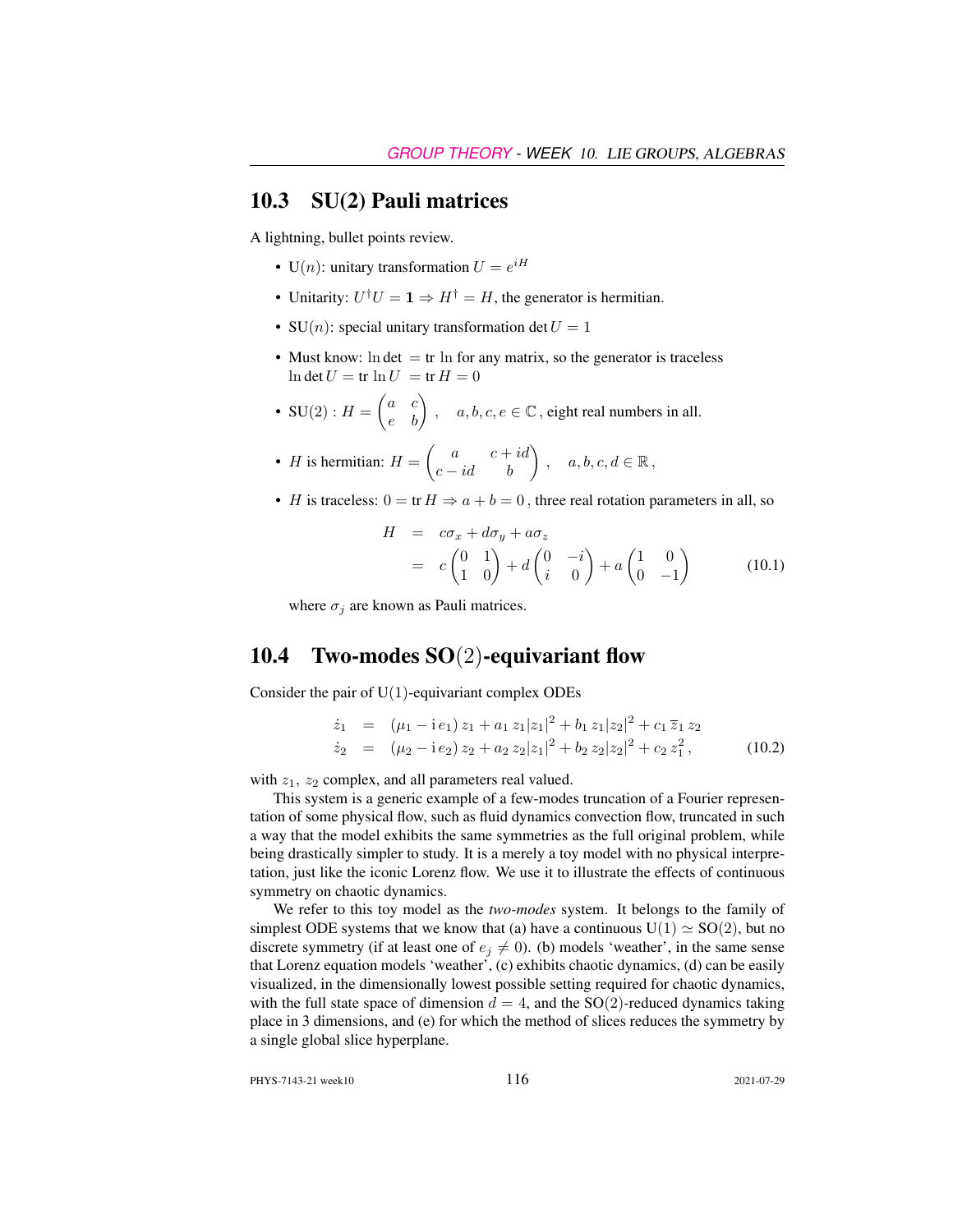### <span id="page-5-0"></span>10.3 SU(2) Pauli matrices

A lightning, bullet points review.

- U(n): unitary transformation  $U = e^{iH}$
- Unitarity:  $U^{\dagger}U = \mathbf{1} \Rightarrow H^{\dagger} = H$ , the generator is hermitian.
- SU(*n*): special unitary transformation det  $U = 1$
- Must know:  $\ln \det = \text{tr} \ln \text{ for any matrix, so the generator is traceless}$  $\ln \det U = \text{tr} \ln U = \text{tr} H = 0$
- SU(2) :  $H = \begin{pmatrix} a & c \\ e & b \end{pmatrix}$ ,  $a, b, c, e \in \mathbb{C}$ , eight real numbers in all.
- *H* is hermitian:  $H = \begin{pmatrix} a & c+id \\ c-id & b \end{pmatrix}$ ,  $a, b, c, d \in \mathbb{R}$ ,
- H is traceless:  $0 = \text{tr } H \Rightarrow a + b = 0$ , three real rotation parameters in all, so

$$
H = c\sigma_x + d\sigma_y + a\sigma_z
$$
  
=  $c\begin{pmatrix} 0 & 1 \\ 1 & 0 \end{pmatrix} + d\begin{pmatrix} 0 & -i \\ i & 0 \end{pmatrix} + a\begin{pmatrix} 1 & 0 \\ 0 & -1 \end{pmatrix}$  (10.1)

where  $\sigma_j$  are known as Pauli matrices.

# <span id="page-5-1"></span>10.4 Two-modes SO(2)-equivariant flow

Consider the pair of  $U(1)$ -equivariant complex ODEs

<span id="page-5-2"></span>
$$
\dot{z}_1 = (\mu_1 - i e_1) z_1 + a_1 z_1 |z_1|^2 + b_1 z_1 |z_2|^2 + c_1 \overline{z}_1 z_2
$$
  
\n
$$
\dot{z}_2 = (\mu_2 - i e_2) z_2 + a_2 z_2 |z_1|^2 + b_2 z_2 |z_2|^2 + c_2 z_1^2,
$$
 (10.2)

with  $z_1$ ,  $z_2$  complex, and all parameters real valued.

This system is a generic example of a few-modes truncation of a Fourier representation of some physical flow, such as fluid dynamics convection flow, truncated in such a way that the model exhibits the same symmetries as the full original problem, while being drastically simpler to study. It is a merely a toy model with no physical interpretation, just like the iconic Lorenz flow. We use it to illustrate the effects of continuous symmetry on chaotic dynamics.

We refer to this toy model as the *two-modes* system. It belongs to the family of simplest ODE systems that we know that (a) have a continuous  $U(1) \simeq SO(2)$ , but no discrete symmetry (if at least one of  $e_j \neq 0$ ). (b) models 'weather', in the same sense that Lorenz equation models 'weather', (c) exhibits chaotic dynamics, (d) can be easily visualized, in the dimensionally lowest possible setting required for chaotic dynamics, with the full state space of dimension  $d = 4$ , and the SO(2)-reduced dynamics taking place in 3 dimensions, and (e) for which the method of slices reduces the symmetry by a single global slice hyperplane.

PHYS-7143-21 week10 116 2021-07-29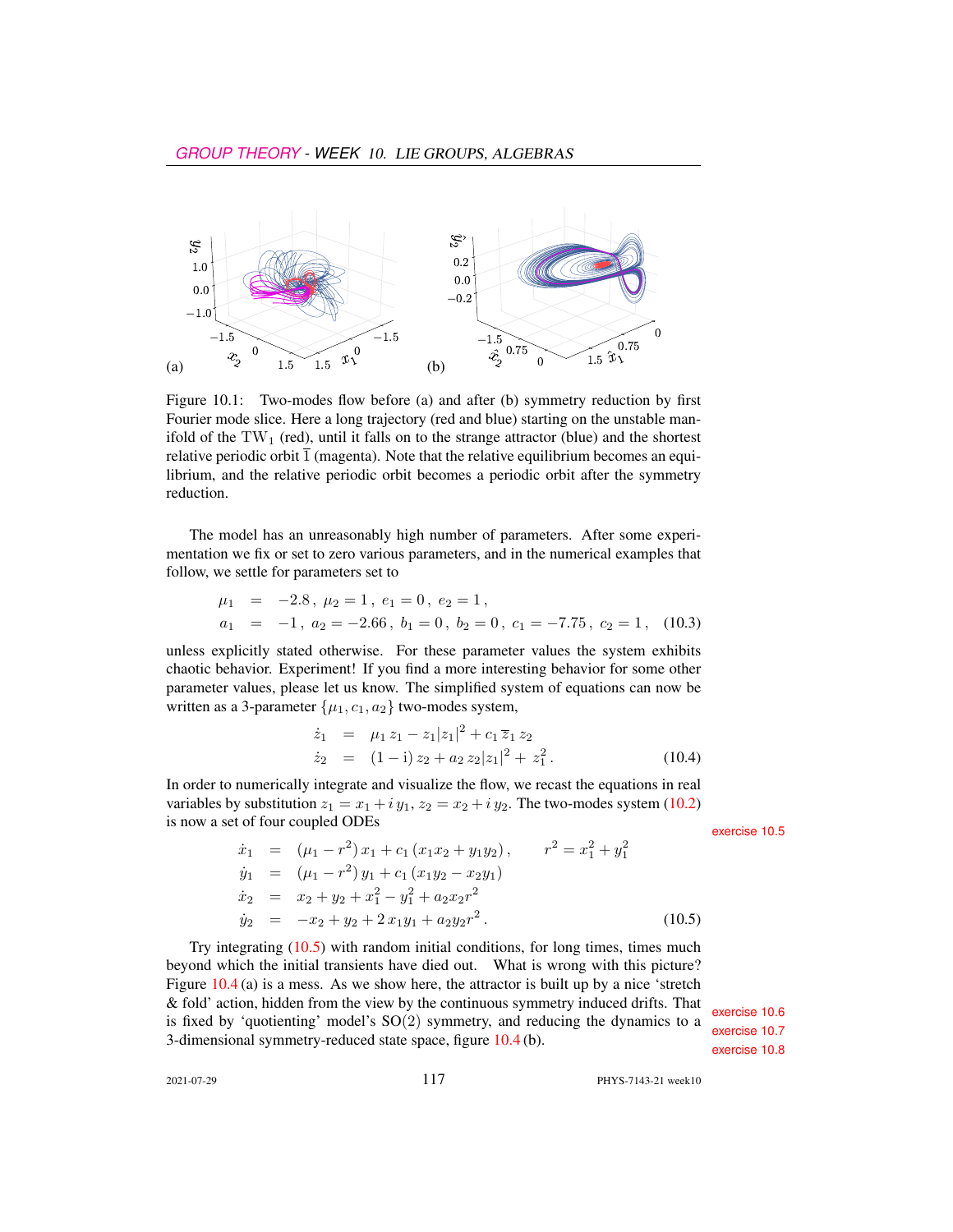

Figure 10.1: Two-modes flow before (a) and after (b) symmetry reduction by first Fourier mode slice. Here a long trajectory (red and blue) starting on the unstable manifold of the  $TW_1$  (red), until it falls on to the strange attractor (blue) and the shortest relative periodic orbit  $\overline{1}$  (magenta). Note that the relative equilibrium becomes an equilibrium, and the relative periodic orbit becomes a periodic orbit after the symmetry reduction.

The model has an unreasonably high number of parameters. After some experimentation we fix or set to zero various parameters, and in the numerical examples that follow, we settle for parameters set to

$$
\mu_1 = -2.8, \mu_2 = 1, e_1 = 0, e_2 = 1,\na_1 = -1, a_2 = -2.66, b_1 = 0, b_2 = 0, c_1 = -7.75, c_2 = 1, (10.3)
$$

unless explicitly stated otherwise. For these parameter values the system exhibits chaotic behavior. Experiment! If you find a more interesting behavior for some other parameter values, please let us know. The simplified system of equations can now be written as a 3-parameter  $\{\mu_1, c_1, a_2\}$  two-modes system,

$$
\dot{z}_1 = \mu_1 z_1 - z_1 |z_1|^2 + c_1 \overline{z}_1 z_2 \n\dot{z}_2 = (1 - i) z_2 + a_2 z_2 |z_1|^2 + z_1^2.
$$
\n(10.4)

In order to numerically integrate and visualize the flow, we recast the equations in real variables by substitution  $z_1 = x_1 + iy_1$ ,  $z_2 = x_2 + iy_2$ . The two-modes system [\(10.2\)](#page-5-2) is now a set of four coupled ODEs exercise [10.5](#page-22-2)

<span id="page-6-0"></span>
$$
\dot{x}_1 = (\mu_1 - r^2) x_1 + c_1 (x_1 x_2 + y_1 y_2), \qquad r^2 = x_1^2 + y_1^2
$$
  
\n
$$
\dot{y}_1 = (\mu_1 - r^2) y_1 + c_1 (x_1 y_2 - x_2 y_1)
$$
  
\n
$$
\dot{x}_2 = x_2 + y_2 + x_1^2 - y_1^2 + a_2 x_2 r^2
$$
  
\n
$$
\dot{y}_2 = -x_2 + y_2 + 2 x_1 y_1 + a_2 y_2 r^2.
$$
\n(10.5)

Try integrating  $(10.5)$  with random initial conditions, for long times, times much beyond which the initial transients have died out. What is wrong with this picture? Figure  $10.4$  (a) is a mess. As we show here, the attractor is built up by a nice 'stretch & fold' action, hidden from the view by the continuous symmetry induced drifts. That<br>is fixed by 'quotienting' model's  $SO(2)$  symmetry, and reducing the dynamics to a<br>3-dimensional symmetry-reduced state space, figure 10.

2021-07-29 117 PHYS-7143-21 week10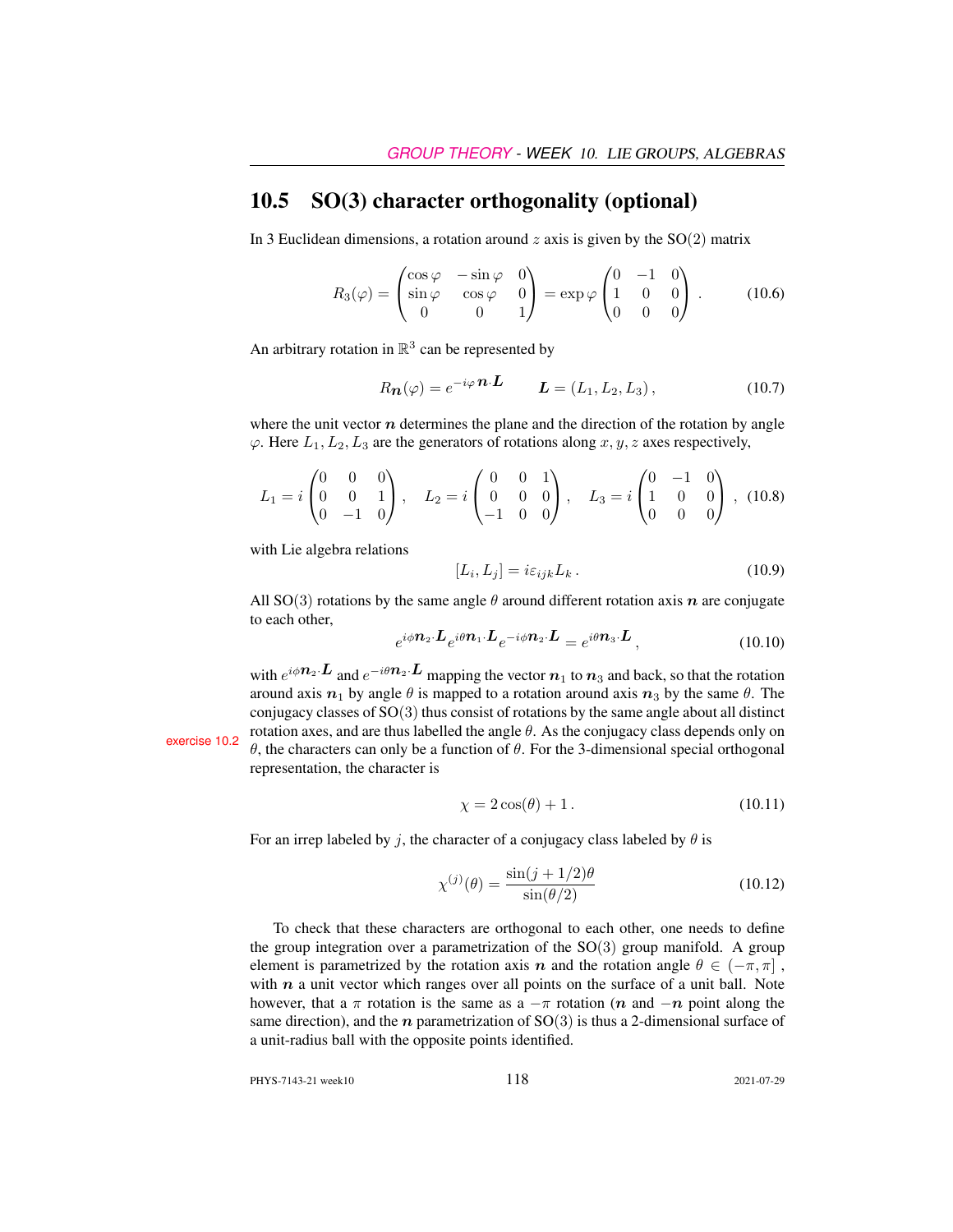### <span id="page-7-0"></span>10.5 SO(3) character orthogonality (optional)

In 3 Euclidean dimensions, a rotation around  $z$  axis is given by the  $SO(2)$  matrix

$$
R_3(\varphi) = \begin{pmatrix} \cos \varphi & -\sin \varphi & 0 \\ \sin \varphi & \cos \varphi & 0 \\ 0 & 0 & 1 \end{pmatrix} = \exp \varphi \begin{pmatrix} 0 & -1 & 0 \\ 1 & 0 & 0 \\ 0 & 0 & 0 \end{pmatrix} . \tag{10.6}
$$

An arbitrary rotation in  $\mathbb{R}^3$  can be represented by

<span id="page-7-1"></span>
$$
R_{\mathbf{n}}(\varphi) = e^{-i\varphi} \mathbf{n} \cdot \mathbf{L} \qquad \mathbf{L} = (L_1, L_2, L_3), \tag{10.7}
$$

where the unit vector  $n$  determines the plane and the direction of the rotation by angle  $\varphi$ . Here  $L_1, L_2, L_3$  are the generators of rotations along  $x, y, z$  axes respectively,

$$
L_1 = i \begin{pmatrix} 0 & 0 & 0 \\ 0 & 0 & 1 \\ 0 & -1 & 0 \end{pmatrix}, \quad L_2 = i \begin{pmatrix} 0 & 0 & 1 \\ 0 & 0 & 0 \\ -1 & 0 & 0 \end{pmatrix}, \quad L_3 = i \begin{pmatrix} 0 & -1 & 0 \\ 1 & 0 & 0 \\ 0 & 0 & 0 \end{pmatrix}, (10.8)
$$

with Lie algebra relations

<span id="page-7-2"></span>
$$
[L_i, L_j] = i\varepsilon_{ijk} L_k. \tag{10.9}
$$

All SO(3) rotations by the same angle  $\theta$  around different rotation axis n are conjugate to each other,

$$
e^{i\phi \mathbf{n}_2 \cdot \mathbf{L}} e^{i\theta \mathbf{n}_1 \cdot \mathbf{L}} e^{-i\phi \mathbf{n}_2 \cdot \mathbf{L}} = e^{i\theta \mathbf{n}_3 \cdot \mathbf{L}}, \qquad (10.10)
$$

with  $e^{i\phi \mathbf{n}_2 \cdot \mathbf{L}}$  and  $e^{-i\theta \mathbf{n}_2 \cdot \mathbf{L}}$  mapping the vector  $\mathbf{n}_1$  to  $\mathbf{n}_3$  and back, so that the rotation around axis  $n_1$  by angle  $\theta$  is mapped to a rotation around axis  $n_3$  by the same  $\theta$ . The conjugacy classes of SO(3) thus consist of rotations by the same angle about all distinct exercise [10.2](#page-21-1) rotation axes, and are thus labelled the angle θ. As the conjugacy class depends only on θ, the characters can only be a function of θ. For the 3-dimensional special orthogonal representation, the character is

$$
\chi = 2\cos(\theta) + 1. \tag{10.11}
$$

For an irrep labeled by j, the character of a conjugacy class labeled by  $\theta$  is

<span id="page-7-3"></span>
$$
\chi^{(j)}(\theta) = \frac{\sin(j+1/2)\theta}{\sin(\theta/2)}
$$
\n(10.12)

To check that these characters are orthogonal to each other, one needs to define the group integration over a parametrization of the  $SO(3)$  group manifold. A group element is parametrized by the rotation axis n and the rotation angle  $\theta \in (-\pi, \pi]$ , with  $n$  a unit vector which ranges over all points on the surface of a unit ball. Note however, that a  $\pi$  rotation is the same as a  $-\pi$  rotation (n and  $-n$  point along the same direction), and the *n* parametrization of  $SO(3)$  is thus a 2-dimensional surface of a unit-radius ball with the opposite points identified.

PHYS-7143-21 week10 118 2021-07-29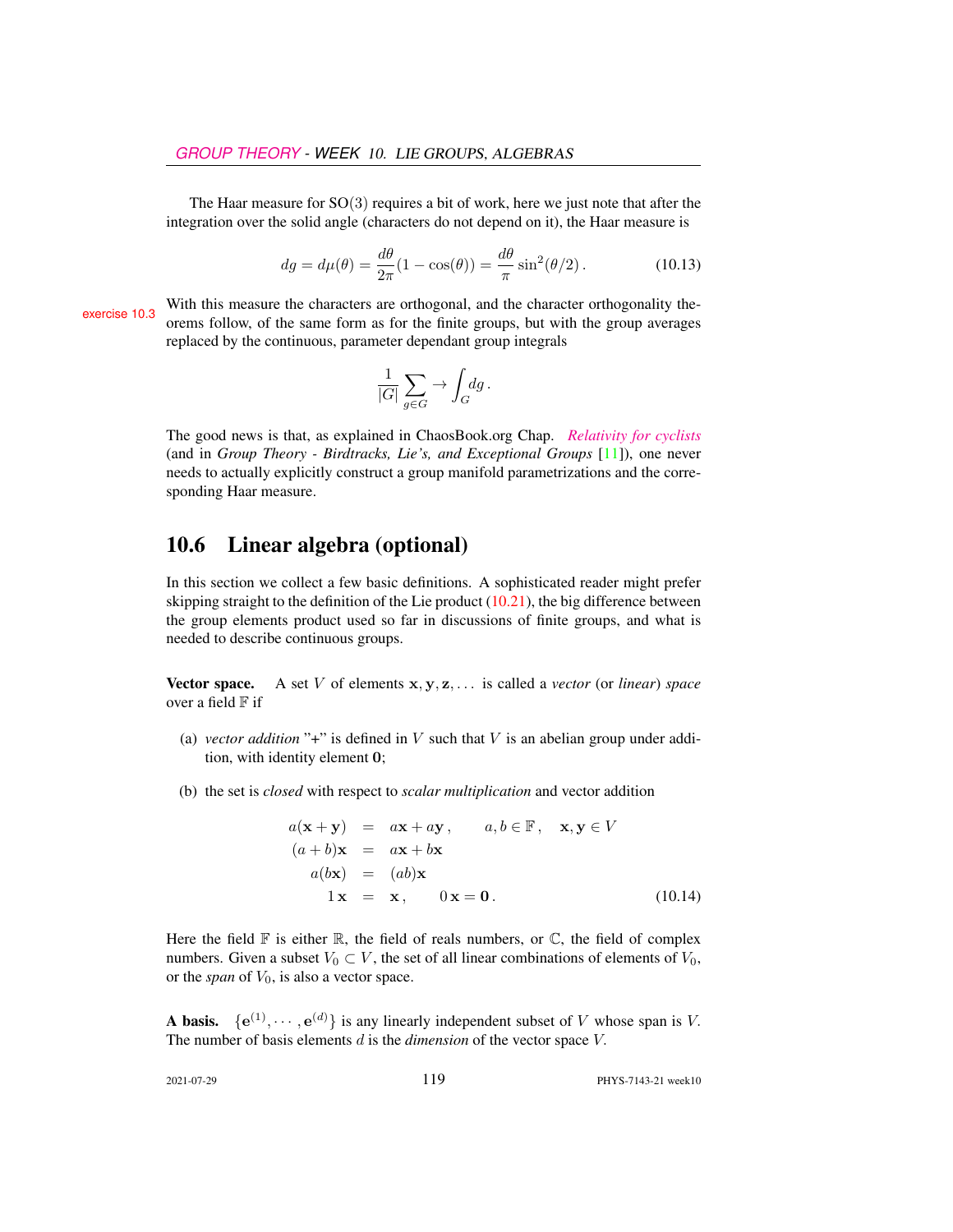The Haar measure for  $SO(3)$  requires a bit of work, here we just note that after the integration over the solid angle (characters do not depend on it), the Haar measure is

<span id="page-8-1"></span>
$$
dg = d\mu(\theta) = \frac{d\theta}{2\pi}(1 - \cos(\theta)) = \frac{d\theta}{\pi}\sin^2(\theta/2). \tag{10.13}
$$

exercise [10.3](#page-21-2) With this measure the characters are orthogonal, and the character orthogonality the-<br>orems follow, of the same form as for the finite groups, but with the group averages replaced by the continuous, parameter dependant group integrals

$$
\frac{1}{|G|} \sum_{g \in G} \to \int_G \! dg \, .
$$

The good news is that, as explained in ChaosBook.org Chap. *[Relativity for cyclists](http://birdtracks.eu/courses/PHYS-7143-19/continuous.pdf)* (and in *Group Theory - Birdtracks, Lie's, and Exceptional Groups* [\[11\]](#page-20-0)), one never needs to actually explicitly construct a group manifold parametrizations and the corresponding Haar measure.

# <span id="page-8-0"></span>10.6 Linear algebra (optional)

In this section we collect a few basic definitions. A sophisticated reader might prefer skipping straight to the definition of the Lie product  $(10.21)$ , the big difference between the group elements product used so far in discussions of finite groups, and what is needed to describe continuous groups.

Vector space. A set V of elements x, y, z, . . . is called a *vector* (or *linear*) *space* over a field  $F$  if

- (a) *vector addition* "+" is defined in  $V$  such that  $V$  is an abelian group under addition, with identity element 0;
- (b) the set is *closed* with respect to *scalar multiplication* and vector addition

$$
a(\mathbf{x} + \mathbf{y}) = a\mathbf{x} + a\mathbf{y}, \qquad a, b \in \mathbb{F}, \quad \mathbf{x}, \mathbf{y} \in V
$$
  
\n
$$
(a + b)\mathbf{x} = a\mathbf{x} + b\mathbf{x}
$$
  
\n
$$
a(b\mathbf{x}) = (ab)\mathbf{x}
$$
  
\n
$$
1\mathbf{x} = \mathbf{x}, \qquad 0\mathbf{x} = \mathbf{0}.
$$
 (10.14)

Here the field  $\mathbb F$  is either  $\mathbb R$ , the field of reals numbers, or  $\mathbb C$ , the field of complex numbers. Given a subset  $V_0 \subset V$ , the set of all linear combinations of elements of  $V_0$ , or the *span* of  $V_0$ , is also a vector space.

**A basis.**  $\{e^{(1)}, \dots, e^{(d)}\}$  is any linearly independent subset of V whose span is V. The number of basis elements d is the *dimension* of the vector space V.

2021-07-29 119 PHYS-7143-21 week10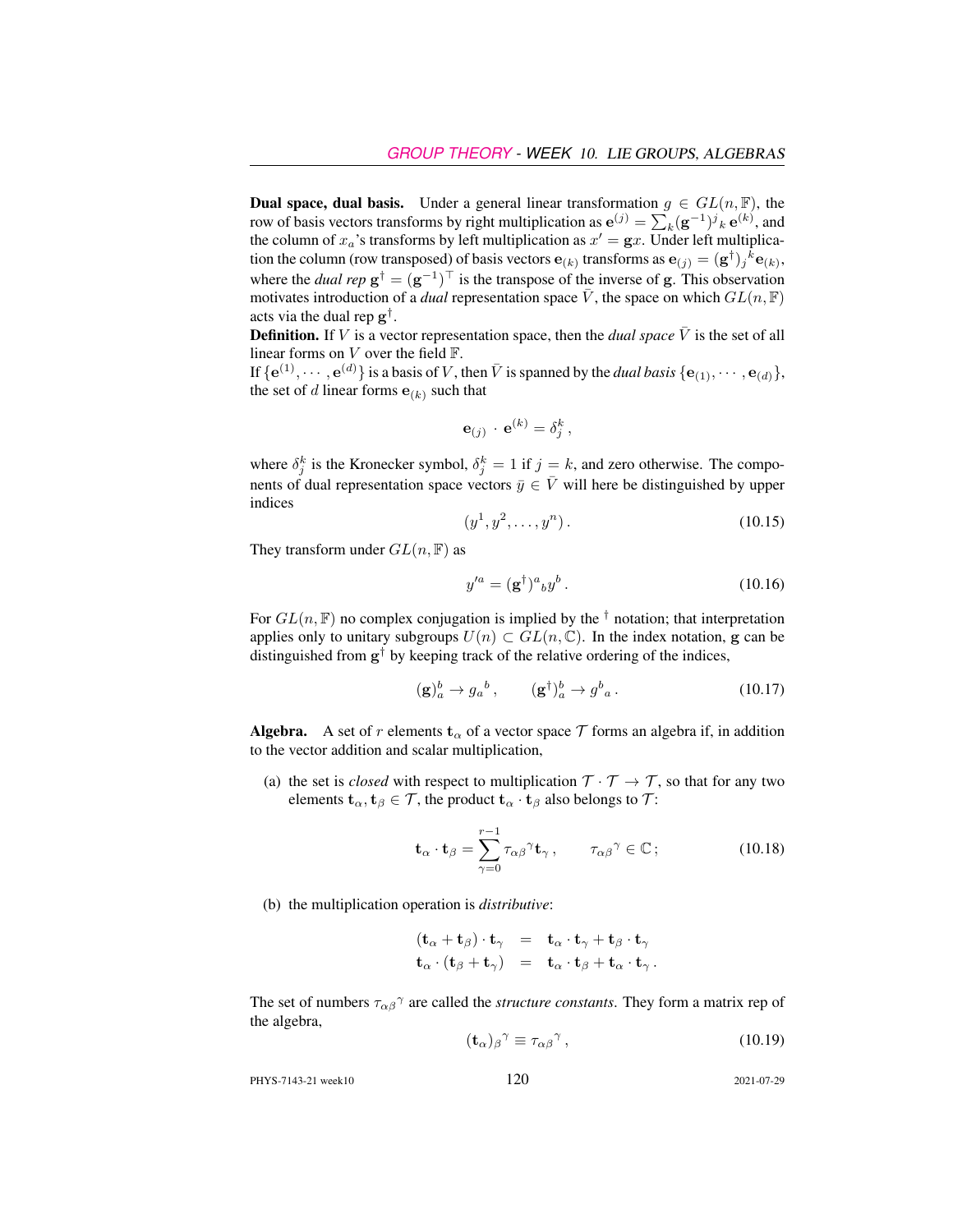**Dual space, dual basis.** Under a general linear transformation  $g \in GL(n, \mathbb{F})$ , the row of basis vectors transforms by right multiplication as  $e^{(j)} = \sum_k (g^{-1})^j{}_k e^{(k)}$ , and the column of  $x_a$ 's transforms by left multiplication as  $x' = \mathbf{g}x$ . Under left multiplication the column (row transposed) of basis vectors  $e_{(k)}$  transforms as  $e_{(j)} = (g^{\dagger})_j{}^k e_{(k)}$ , where the *dual rep*  $g^{\dagger} = (g^{-1})^{\top}$  is the transpose of the inverse of g. This observation motivates introduction of a *dual* representation space  $\overline{V}$ , the space on which  $GL(n, \mathbb{F})$ acts via the dual rep  $g^{\dagger}$ .

**Definition.** If V is a vector representation space, then the *dual space*  $\overline{V}$  is the set of all linear forms on  $V$  over the field  $\mathbb{F}$ .

If  $\{e^{(1)}, \dots, e^{(d)}\}$  is a basis of V, then  $\bar{V}$  is spanned by the *dual basis*  $\{e_{(1)}, \dots, e_{(d)}\}$ , the set of d linear forms  $e_{(k)}$  such that

$$
\mathbf{e}_{(j)} \cdot \mathbf{e}^{(k)} = \delta_j^k
$$

,

where  $\delta_j^k$  is the Kronecker symbol,  $\delta_j^k = 1$  if  $j = k$ , and zero otherwise. The components of dual representation space vectors  $\bar{y} \in \bar{V}$  will here be distinguished by upper indices

$$
(y^1, y^2, \dots, y^n). \tag{10.15}
$$

They transform under  $GL(n, \mathbb{F})$  as

$$
y'^a = (\mathbf{g}^\dagger)^a{}_b y^b. \tag{10.16}
$$

For  $GL(n, \mathbb{F})$  no complex conjugation is implied by the <sup>†</sup> notation; that interpretation applies only to unitary subgroups  $U(n) \subset GL(n, \mathbb{C})$ . In the index notation, g can be distinguished from  $g^{\dagger}$  by keeping track of the relative ordering of the indices,

$$
(\mathbf{g})_a^b \to g_a^b \,, \qquad (\mathbf{g}^\dagger)_a^b \to g^b{}_a \,. \tag{10.17}
$$

**Algebra.** A set of r elements  $\mathbf{t}_{\alpha}$  of a vector space T forms an algebra if, in addition to the vector addition and scalar multiplication,

(a) the set is *closed* with respect to multiplication  $T \cdot T \rightarrow T$ , so that for any two elements  $\mathbf{t}_{\alpha}, \mathbf{t}_{\beta} \in \mathcal{T}$ , the product  $\mathbf{t}_{\alpha} \cdot \mathbf{t}_{\beta}$  also belongs to  $\mathcal{T}$ :

$$
\mathbf{t}_{\alpha} \cdot \mathbf{t}_{\beta} = \sum_{\gamma=0}^{r-1} \tau_{\alpha\beta}{}^{\gamma} \mathbf{t}_{\gamma}, \qquad \tau_{\alpha\beta}{}^{\gamma} \in \mathbb{C} \, ; \tag{10.18}
$$

(b) the multiplication operation is *distributive*:

$$
(\mathbf{t}_{\alpha} + \mathbf{t}_{\beta}) \cdot \mathbf{t}_{\gamma} = \mathbf{t}_{\alpha} \cdot \mathbf{t}_{\gamma} + \mathbf{t}_{\beta} \cdot \mathbf{t}_{\gamma} \n\mathbf{t}_{\alpha} \cdot (\mathbf{t}_{\beta} + \mathbf{t}_{\gamma}) = \mathbf{t}_{\alpha} \cdot \mathbf{t}_{\beta} + \mathbf{t}_{\alpha} \cdot \mathbf{t}_{\gamma}.
$$

The set of numbers  $\tau_{\alpha\beta}^{\gamma}$  are called the *structure constants*. They form a matrix rep of the algebra,

$$
(\mathbf{t}_{\alpha})_{\beta}{}^{\gamma} \equiv \tau_{\alpha\beta}{}^{\gamma},\tag{10.19}
$$

PHYS-7143-21 week10 120 2021-07-29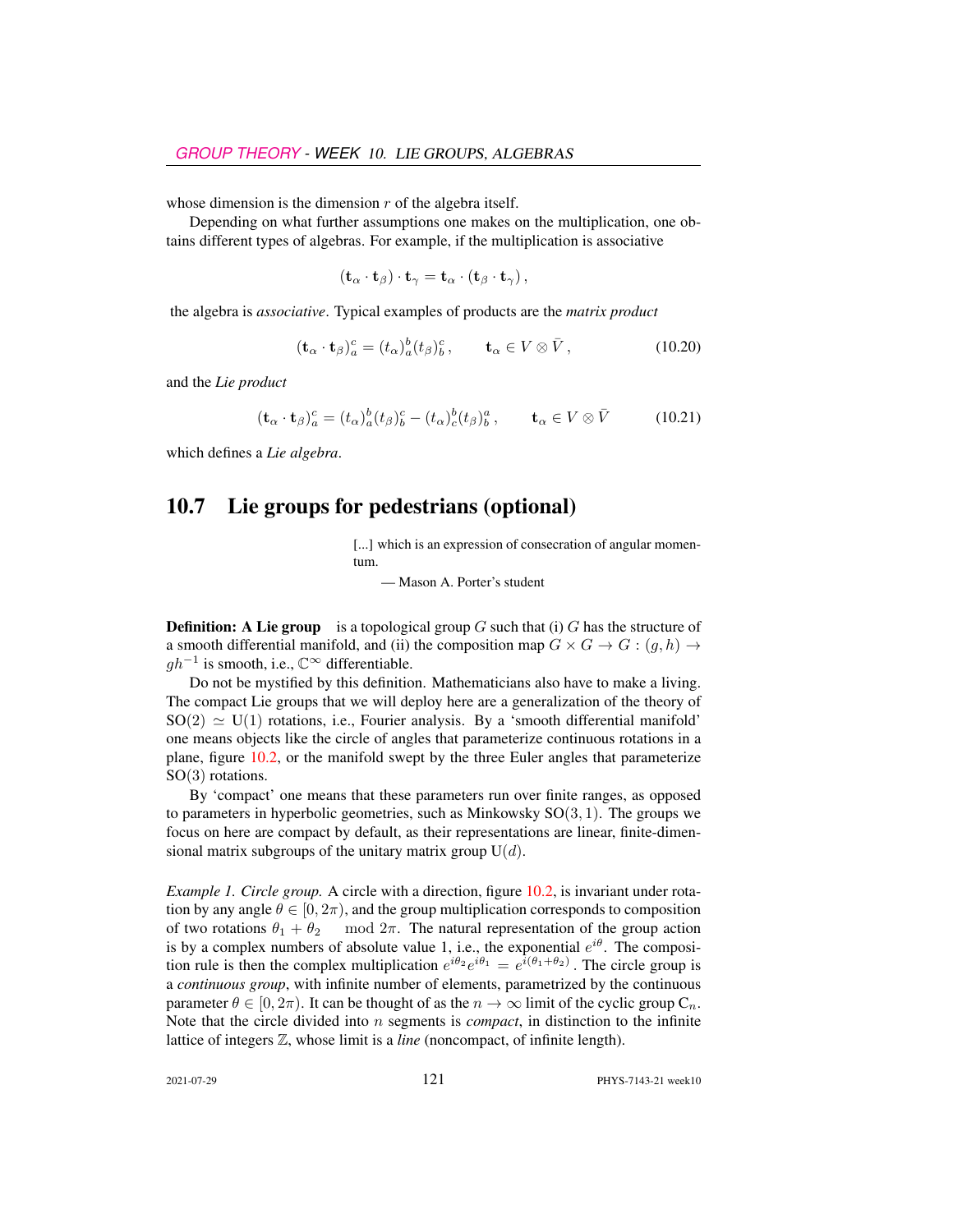whose dimension is the dimension  $r$  of the algebra itself.

Depending on what further assumptions one makes on the multiplication, one obtains different types of algebras. For example, if the multiplication is associative

$$
(\mathbf{t}_{\alpha}\cdot\mathbf{t}_{\beta})\cdot\mathbf{t}_{\gamma}=\mathbf{t}_{\alpha}\cdot(\mathbf{t}_{\beta}\cdot\mathbf{t}_{\gamma}),
$$

the algebra is *associative*. Typical examples of products are the *matrix product*

$$
(\mathbf{t}_{\alpha} \cdot \mathbf{t}_{\beta})_a^c = (t_{\alpha})_a^b (t_{\beta})_b^c, \qquad \mathbf{t}_{\alpha} \in V \otimes \bar{V}, \tag{10.20}
$$

and the *Lie product*

<span id="page-10-1"></span>
$$
(\mathbf{t}_{\alpha} \cdot \mathbf{t}_{\beta})_a^c = (t_{\alpha})_a^b (t_{\beta})_b^c - (t_{\alpha})_c^b (t_{\beta})_b^a, \qquad \mathbf{t}_{\alpha} \in V \otimes \bar{V}
$$
 (10.21)

which defines a *Lie algebra*.

# <span id="page-10-0"></span>10.7 Lie groups for pedestrians (optional)

[...] which is an expression of consecration of angular momentum.

— Mason A. Porter's student

**Definition:** A Lie group is a topological group G such that (i) G has the structure of a smooth differential manifold, and (ii) the composition map  $G \times G \to G$ :  $(q, h) \to$  $gh^{-1}$  is smooth, i.e.,  $\mathbb{C}^{\infty}$  differentiable.

Do not be mystified by this definition. Mathematicians also have to make a living. The compact Lie groups that we will deploy here are a generalization of the theory of  $SO(2) \simeq U(1)$  rotations, i.e., Fourier analysis. By a 'smooth differential manifold' one means objects like the circle of angles that parameterize continuous rotations in a plane, figure [10.2,](#page-11-0) or the manifold swept by the three Euler angles that parameterize SO(3) rotations.

By 'compact' one means that these parameters run over finite ranges, as opposed to parameters in hyperbolic geometries, such as Minkowsky  $SO(3, 1)$ . The groups we focus on here are compact by default, as their representations are linear, finite-dimensional matrix subgroups of the unitary matrix group  $U(d)$ .

*Example 1. Circle group.* A circle with a direction, figure [10.2,](#page-11-0) is invariant under rotation by any angle  $\theta \in [0, 2\pi)$ , and the group multiplication corresponds to composition of two rotations  $\theta_1 + \theta_2$  mod  $2\pi$ . The natural representation of the group action is by a complex numbers of absolute value 1, i.e., the exponential  $e^{i\theta}$ . The composition rule is then the complex multiplication  $e^{i\theta_2}e^{i\theta_1} = e^{i(\theta_1 + \theta_2)}$ . The circle group is a *continuous group*, with infinite number of elements, parametrized by the continuous parameter  $\theta \in [0, 2\pi)$ . It can be thought of as the  $n \to \infty$  limit of the cyclic group  $C_n$ . Note that the circle divided into n segments is *compact*, in distinction to the infinite lattice of integers Z, whose limit is a *line* (noncompact, of infinite length).

2021-07-29 121 PHYS-7143-21 week10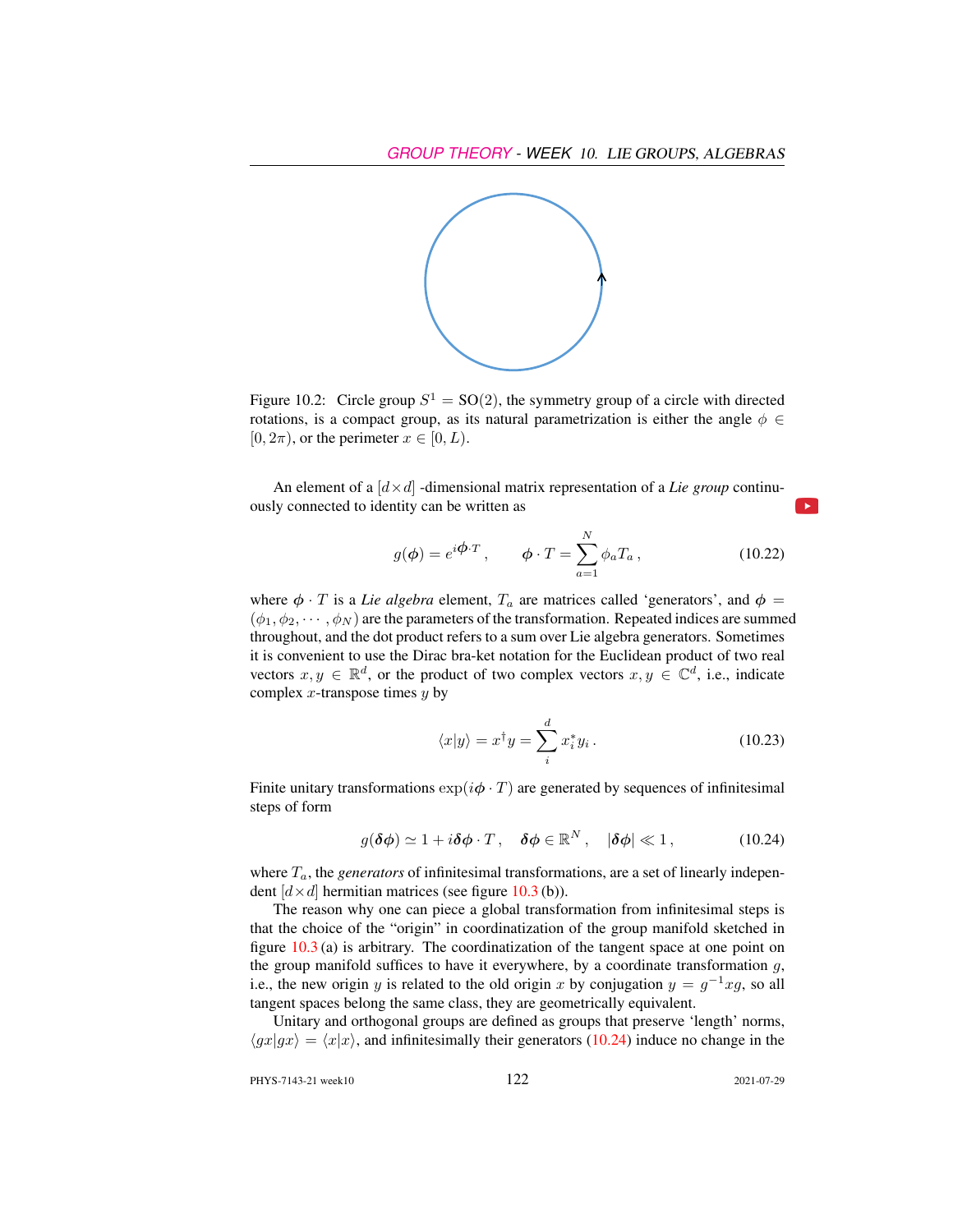

<span id="page-11-0"></span>Figure 10.2: Circle group  $S^1 = SO(2)$ , the symmetry group of a circle with directed rotations, is a compact group, as its natural parametrization is either the angle  $\phi \in$  $[0, 2\pi)$ , or the perimeter  $x \in [0, L)$ .

An element of a  $\left[ d \times d \right]$  -dimensional matrix representation of a *Lie group* continuously connected to identity can be written as

<span id="page-11-2"></span>
$$
g(\phi) = e^{i\phi \cdot T}, \qquad \phi \cdot T = \sum_{a=1}^{N} \phi_a T_a, \qquad (10.22)
$$

where  $\phi \cdot T$  is a *Lie algebra* element,  $T_a$  are matrices called 'generators', and  $\phi =$  $(\phi_1, \phi_2, \dots, \phi_N)$  are the parameters of the transformation. Repeated indices are summed throughout, and the dot product refers to a sum over Lie algebra generators. Sometimes it is convenient to use the Dirac bra-ket notation for the Euclidean product of two real vectors  $x, y \in \mathbb{R}^d$ , or the product of two complex vectors  $x, y \in \mathbb{C}^d$ , i.e., indicate complex  $x$ -transpose times  $y$  by

$$
\langle x|y\rangle = x^{\dagger}y = \sum_{i}^{d} x_{i}^{*}y_{i}.
$$
 (10.23)

Finite unitary transformations  $\exp(i\phi \cdot T)$  are generated by sequences of infinitesimal steps of form

<span id="page-11-1"></span>
$$
g(\delta\phi) \simeq 1 + i\delta\phi \cdot T \,, \quad \delta\phi \in \mathbb{R}^N \,, \quad |\delta\phi| \ll 1 \,, \tag{10.24}
$$

where  $T_a$ , the *generators* of infinitesimal transformations, are a set of linearly independent  $[d \times d]$  hermitian matrices (see figure [10.3](#page-12-0) (b)).

The reason why one can piece a global transformation from infinitesimal steps is that the choice of the "origin" in coordinatization of the group manifold sketched in figure  $10.3$  (a) is arbitrary. The coordinatization of the tangent space at one point on the group manifold suffices to have it everywhere, by a coordinate transformation  $g$ , i.e., the new origin y is related to the old origin x by conjugation  $y = g^{-1}xg$ , so all tangent spaces belong the same class, they are geometrically equivalent.

Unitary and orthogonal groups are defined as groups that preserve 'length' norms,  $\langle gx|gx \rangle = \langle x|x \rangle$ , and infinitesimally their generators [\(10.24\)](#page-11-1) induce no change in the

PHYS-7143-21 week10 122 2021-07-29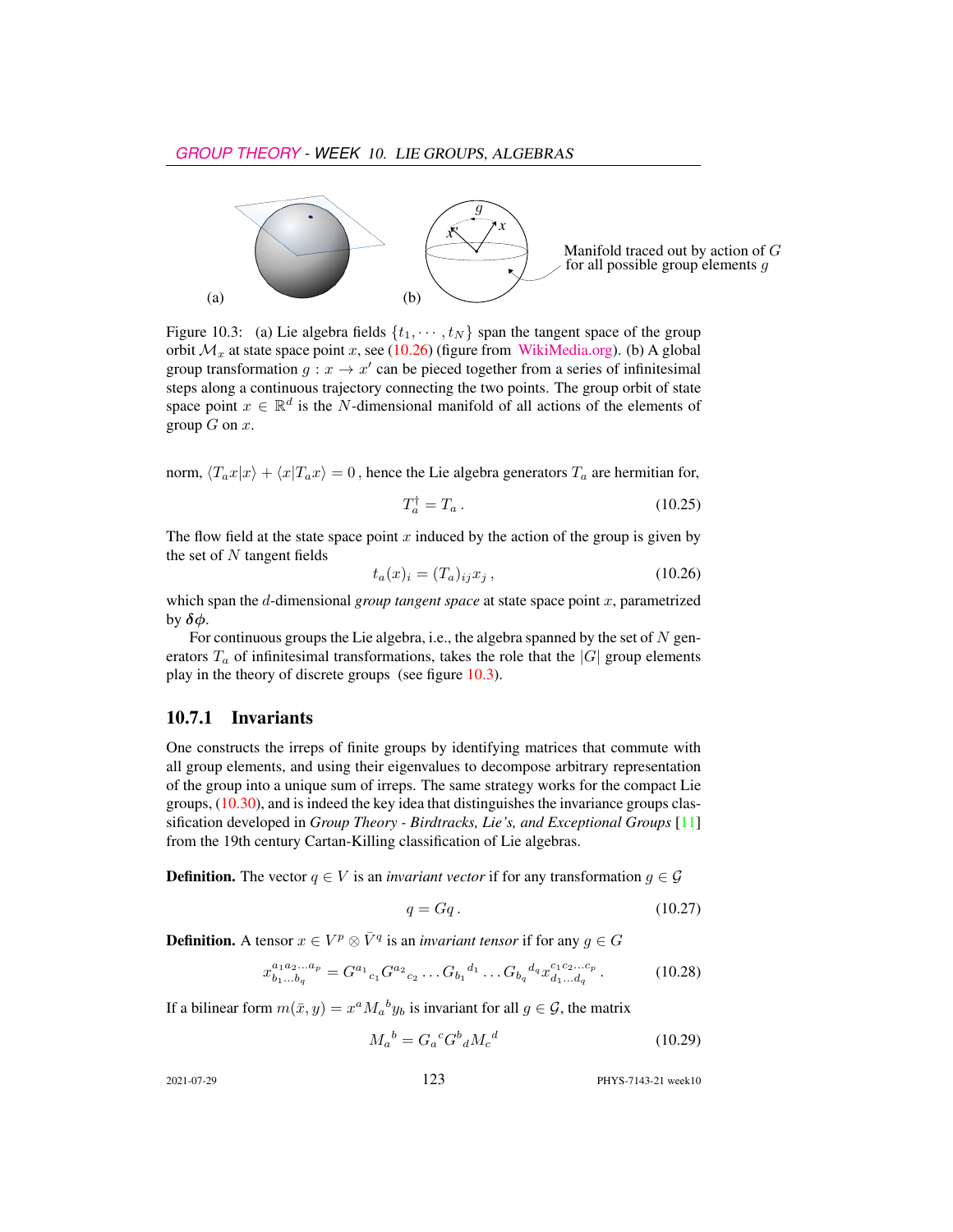

<span id="page-12-0"></span>Figure 10.3: (a) Lie algebra fields  $\{t_1, \dots, t_N\}$  span the tangent space of the group orbit  $\mathcal{M}_x$  at state space point x, see [\(10.26\)](#page-12-1) (figure from [WikiMedia.org\)](https://commons.wikimedia.org/wiki/File:Image_Tangent-plane.svg). (b) A global group transformation  $g: x \to x'$  can be pieced together from a series of infinitesimal steps along a continuous trajectory connecting the two points. The group orbit of state space point  $x \in \mathbb{R}^d$  is the N-dimensional manifold of all actions of the elements of group  $G$  on  $x$ .

norm,  $\langle T_a x | x \rangle + \langle x | T_a x \rangle = 0$ , hence the Lie algebra generators  $T_a$  are hermitian for,

$$
T_a^{\dagger} = T_a \,. \tag{10.25}
$$

The flow field at the state space point  $x$  induced by the action of the group is given by the set of  $N$  tangent fields

<span id="page-12-1"></span>
$$
t_a(x)_i = (T_a)_{ij} x_j , \t\t(10.26)
$$

which span the d-dimensional *group tangent space* at state space point x, parametrized by  $\delta\phi$ .

For continuous groups the Lie algebra, i.e., the algebra spanned by the set of  $N$  generators  $T_a$  of infinitesimal transformations, takes the role that the  $|G|$  group elements play in the theory of discrete groups (see figure [10.3\)](#page-12-0).

### 10.7.1 Invariants

One constructs the irreps of finite groups by identifying matrices that commute with all group elements, and using their eigenvalues to decompose arbitrary representation of the group into a unique sum of irreps. The same strategy works for the compact Lie groups, [\(10.30\)](#page-13-0), and is indeed the key idea that distinguishes the invariance groups classification developed in *Group Theory - Birdtracks, Lie's, and Exceptional Groups* [\[11\]](#page-20-0) from the 19th century Cartan-Killing classification of Lie algebras.

**Definition.** The vector  $q \in V$  is an *invariant vector* if for any transformation  $g \in \mathcal{G}$ 

<span id="page-12-3"></span>
$$
q = Gq. \tag{10.27}
$$

**Definition.** A tensor  $x \in V^p \otimes \overline{V}^q$  is an *invariant tensor* if for any  $g \in G$ 

<span id="page-12-2"></span>
$$
x_{b_1...b_q}^{a_1a_2...a_p} = G^{a_1}{}_{c_1} G^{a_2}{}_{c_2} \dots G_{b_1}{}^{d_1} \dots G_{b_q}{}^{d_q} x_{d_1...d_q}^{c_1c_2...c_p} \,. \tag{10.28}
$$

If a bilinear form  $m(\bar{x}, y) = x^a M_a{}^b y_b$  is invariant for all  $g \in \mathcal{G}$ , the matrix

$$
M_a{}^b = G_a{}^c G^b{}_d M_c{}^d \tag{10.29}
$$

2021-07-29 123 PHYS-7143-21 week10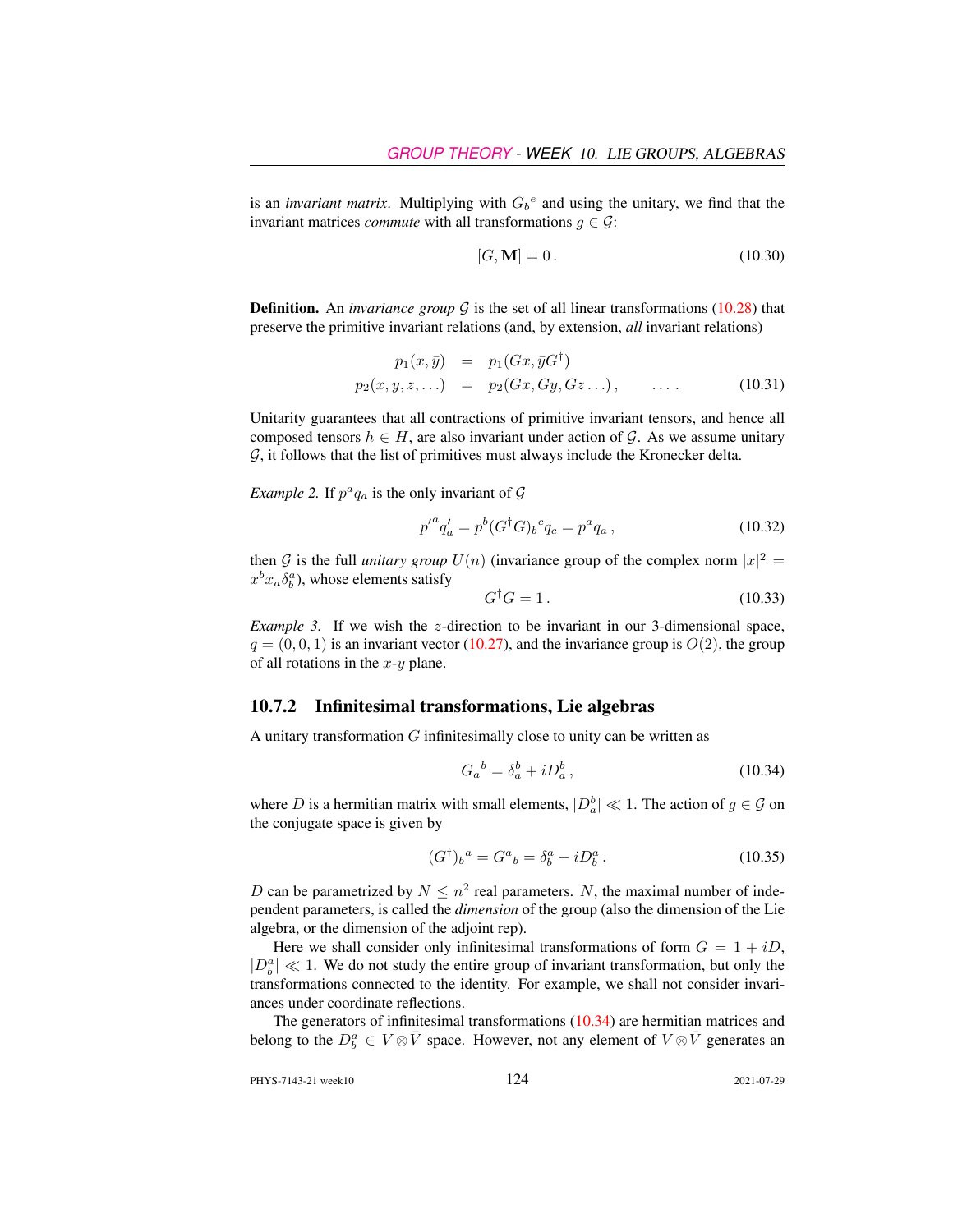is an *invariant matrix*. Multiplying with  $G_b^e$  and using the unitary, we find that the invariant matrices *commute* with all transformations  $g \in \mathcal{G}$ :

<span id="page-13-0"></span>
$$
[G, \mathbf{M}] = 0. \tag{10.30}
$$

**Definition.** An *invariance group*  $G$  is the set of all linear transformations [\(10.28\)](#page-12-2) that preserve the primitive invariant relations (and, by extension, *all* invariant relations)

$$
p_1(x, \bar{y}) = p_1(Gx, \bar{y}G^{\dagger})
$$
  
\n
$$
p_2(x, y, z, \ldots) = p_2(Gx, Gy, Gz \ldots), \qquad \ldots.
$$
 (10.31)

Unitarity guarantees that all contractions of primitive invariant tensors, and hence all composed tensors  $h \in H$ , are also invariant under action of G. As we assume unitary  $G$ , it follows that the list of primitives must always include the Kronecker delta.

*Example 2.* If  $p^a q_a$  is the only invariant of  $\mathcal G$ 

$$
{p'}^a q'_a = p^b (G^\dagger G)_b{}^c q_c = p^a q_a , \qquad (10.32)
$$

then G is the full *unitary group*  $U(n)$  (invariance group of the complex norm  $|x|^2 =$  $x^b x_a \delta_b^a$ ), whose elements satisfy

$$
G^{\dagger}G = 1. \tag{10.33}
$$

*Example 3.* If we wish the z-direction to be invariant in our 3-dimensional space,  $q = (0, 0, 1)$  is an invariant vector [\(10.27\)](#page-12-3), and the invariance group is  $O(2)$ , the group of all rotations in the  $x-y$  plane.

### 10.7.2 Infinitesimal transformations, Lie algebras

A unitary transformation  $G$  infinitesimally close to unity can be written as

<span id="page-13-1"></span>
$$
G_a{}^b = \delta_a^b + i D_a^b \,,\tag{10.34}
$$

where D is a hermitian matrix with small elements,  $|D_a^b| \ll 1$ . The action of  $g \in \mathcal{G}$  on the conjugate space is given by

$$
(G^{\dagger})_b{}^a = G^a{}_b = \delta^a_b - i D^a_b. \tag{10.35}
$$

D can be parametrized by  $N \leq n^2$  real parameters. N, the maximal number of independent parameters, is called the *dimension* of the group (also the dimension of the Lie algebra, or the dimension of the adjoint rep).

Here we shall consider only infinitesimal transformations of form  $G = 1 + iD$ ,  $|D_b^a| \ll 1$ . We do not study the entire group of invariant transformation, but only the transformations connected to the identity. For example, we shall not consider invariances under coordinate reflections.

The generators of infinitesimal transformations [\(10.34\)](#page-13-1) are hermitian matrices and belong to the  $D_b^a \in V \otimes \bar{V}$  space. However, not any element of  $V \otimes \bar{V}$  generates an

PHYS-7143-21 week10 124 2021-07-29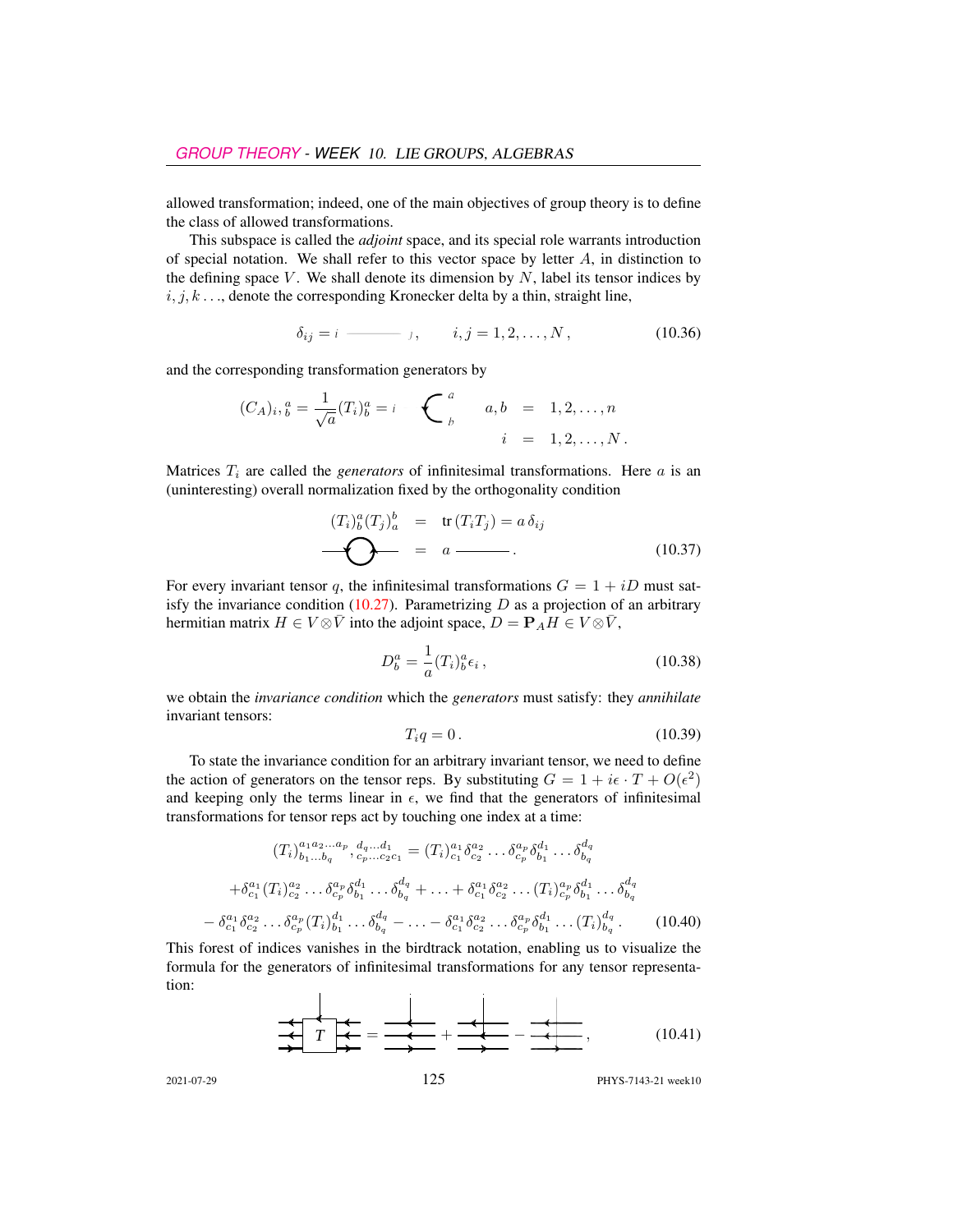allowed transformation; indeed, one of the main objectives of group theory is to define the class of allowed transformations.

This subspace is called the *adjoint* space, and its special role warrants introduction of special notation. We shall refer to this vector space by letter  $A$ , in distinction to the defining space  $V$ . We shall denote its dimension by  $N$ , label its tensor indices by  $i, j, k, \ldots$ , denote the corresponding Kronecker delta by a thin, straight line,

$$
\delta_{ij} = i \longrightarrow j, \qquad i, j = 1, 2, ..., N,
$$
\n(10.36)

and the corresponding transformation generators by

$$
(C_A)_i, \, \, a^a = \frac{1}{\sqrt{a}} (T_i)_b^a = i \, \underbrace{\qquad \qquad}_{b} \qquad a, \, b \quad = \quad 1, 2, \ldots, n
$$
\n
$$
i \quad = \quad 1, 2, \ldots, N \, .
$$

Matrices  $T_i$  are called the *generators* of infinitesimal transformations. Here  $a$  is an (uninteresting) overall normalization fixed by the orthogonality condition

$$
(T_i)_b^a(T_j)_a^b = \text{tr}(T_iT_j) = a\,\delta_{ij}
$$
\n
$$
\longrightarrow \qquad \qquad \bullet \qquad \qquad (10.37)
$$

For every invariant tensor q, the infinitesimal transformations  $G = 1 + iD$  must sat-isfy the invariance condition [\(10.27\)](#page-12-3). Parametrizing  $D$  as a projection of an arbitrary hermitian matrix  $H \in V \otimes \overline{V}$  into the adjoint space,  $D = P_A H \in V \otimes \overline{V}$ ,

$$
D_b^a = \frac{1}{a}(T_i)_b^a \epsilon_i, \qquad (10.38)
$$

we obtain the *invariance condition* which the *generators* must satisfy: they *annihilate* invariant tensors:

<span id="page-14-0"></span>
$$
T_i q = 0. \tag{10.39}
$$

To state the invariance condition for an arbitrary invariant tensor, we need to define the action of generators on the tensor reps. By substituting  $G = 1 + i\epsilon \cdot T + O(\epsilon^2)$ and keeping only the terms linear in  $\epsilon$ , we find that the generators of infinitesimal transformations for tensor reps act by touching one index at a time:

$$
(T_i)_{b_1...b_q}^{a_1a_2...a_p}, d_q...d_1 = (T_i)_{c_1}^{a_1} \delta_{c_2}^{a_2} ... \delta_{c_p}^{a_p} \delta_{b_1}^{d_1} ... \delta_{b_q}^{d_q}
$$

$$
+ \delta_{c_1}^{a_1} (T_i)_{c_2}^{a_2} ... \delta_{c_p}^{a_p} \delta_{b_1}^{d_1} ... \delta_{b_q}^{d_q} + ... + \delta_{c_1}^{a_1} \delta_{c_2}^{a_2} ... (T_i)_{c_p}^{a_p} \delta_{b_1}^{d_1} ... \delta_{b_q}^{d_q}
$$

$$
- \delta_{c_1}^{a_1} \delta_{c_2}^{a_2} ... \delta_{c_p}^{a_p} (T_i)_{b_1}^{d_1} ... \delta_{b_q}^{d_q} - ... - \delta_{c_1}^{a_1} \delta_{c_2}^{a_2} ... \delta_{c_p}^{a_p} \delta_{b_1}^{d_1} ... (T_i)_{b_q}^{d_q}.
$$
(10.40)

This forest of indices vanishes in the birdtrack notation, enabling us to visualize the formula for the generators of infinitesimal transformations for any tensor representation:

 *<sup>T</sup>* <sup>=</sup> <sup>+</sup> <sup>−</sup> , (10.41)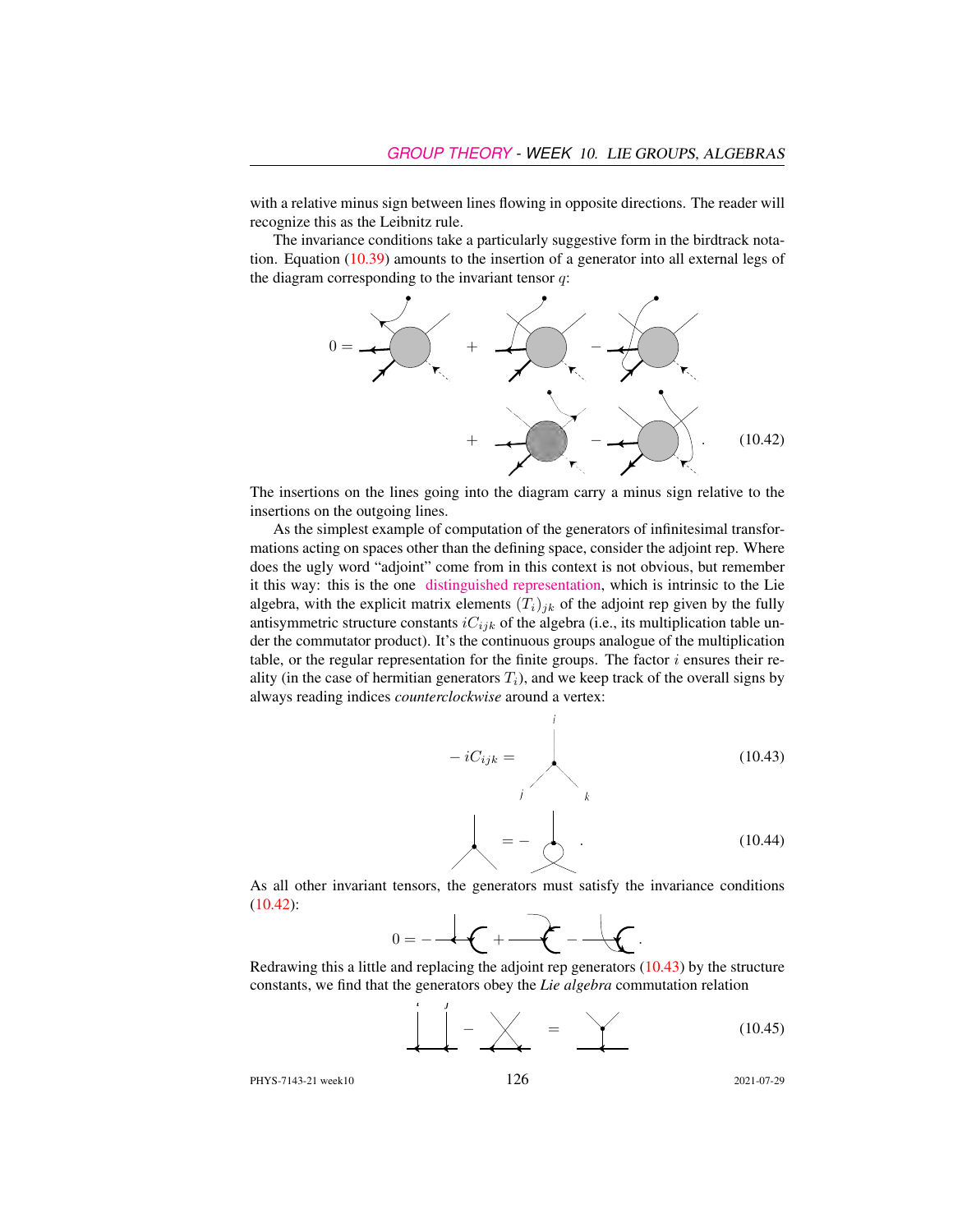with a relative minus sign between lines flowing in opposite directions. The reader will recognize this as the Leibnitz rule.

The invariance conditions take a particularly suggestive form in the birdtrack notation. Equation [\(10.39\)](#page-14-0) amounts to the insertion of a generator into all external legs of the diagram corresponding to the invariant tensor  $q$ :

<span id="page-15-0"></span>

The insertions on the lines going into the diagram carry a minus sign relative to the insertions on the outgoing lines.

As the simplest example of computation of the generators of infinitesimal transformations acting on spaces other than the defining space, consider the adjoint rep. Where does the ugly word "adjoint" come from in this context is not obvious, but remember it this way: this is the one [distinguished representation,](http://jakobschwichtenberg.com/adjoint-representation/) which is intrinsic to the Lie algebra, with the explicit matrix elements  $(T_i)_{jk}$  of the adjoint rep given by the fully antisymmetric structure constants  $iC_{ijk}$  of the algebra (i.e., its multiplication table under the commutator product). It's the continuous groups analogue of the multiplication table, or the regular representation for the finite groups. The factor  $i$  ensures their reality (in the case of hermitian generators  $T_i$ ), and we keep track of the overall signs by always reading indices *counterclockwise* around a vertex:

 $\dot{i}$ 

<span id="page-15-1"></span>
$$
-iC_{ijk} =
$$
\n
$$
k
$$
\n
$$
= -\bigotimes (10.43)
$$
\n(10.43)

As all other invariant tensors, the generators must satisfy the invariance conditions [\(10.42\)](#page-15-0):



Redrawing this a little and replacing the adjoint rep generators [\(10.43\)](#page-15-1) by the structure constants, we find that the generators obey the *Lie algebra* commutation relation

<span id="page-15-2"></span>
$$
\underbrace{\begin{array}{c}\n1 \\
1 \\
1\n\end{array}}\n\begin{array}{c}\n-\n\end{array}\n\begin{array}{c}\n\end{array}\n\begin{array}{c}\n\end{array}\n\begin{array}{c}\n\end{array}\n\begin{array}{c}\n\end{array}\n\begin{array}{c}\n\end{array}\n\begin{array}{c}\n\end{array}\n\begin{array}{c}\n\end{array}\n\begin{array}{c}\n\end{array}\n\begin{array}{c}\n\end{array}\n\end{array}\n\tag{10.45}
$$

PHYS-7143-21 week10 126 2021-07-29

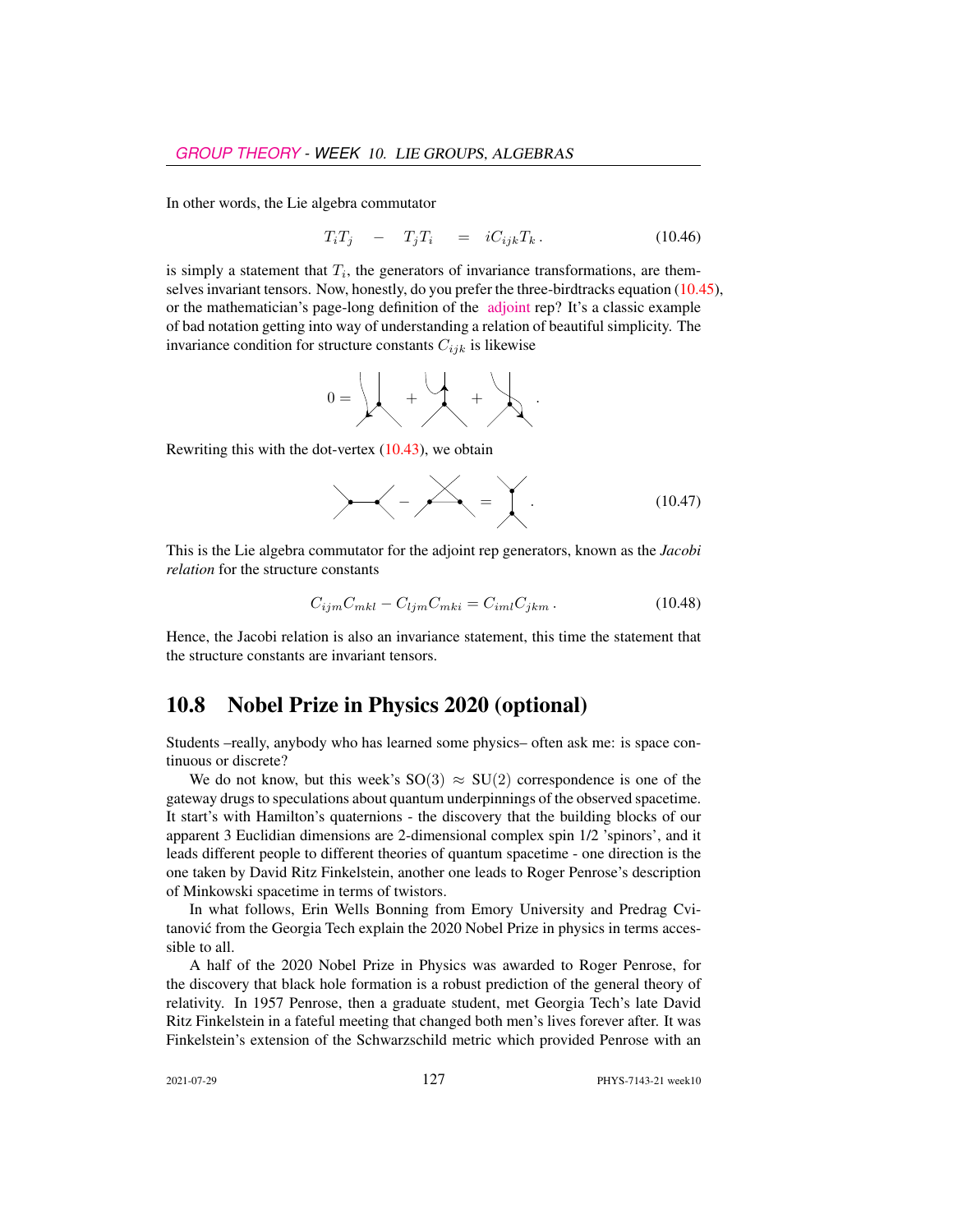In other words, the Lie algebra commutator

$$
T_i T_j - T_j T_i = i C_{ijk} T_k. \qquad (10.46)
$$

is simply a statement that  $T_i$ , the generators of invariance transformations, are themselves invariant tensors. Now, honestly, do you prefer the three-birdtracks equation [\(10.45\)](#page-15-2), or the mathematician's page-long definition of the [adjoint](https://www.encyclopediaofmath.org/index.php/Adjoint_representation_of_a_Lie_group) rep? It's a classic example of bad notation getting into way of understanding a relation of beautiful simplicity. The invariance condition for structure constants  $C_{ijk}$  is likewise

0 = + + .

Rewriting this with the dot-vertex [\(10.43\)](#page-15-1), we obtain

$$
\angle - \angle - \angle = \angle \qquad (10.47)
$$

This is the Lie algebra commutator for the adjoint rep generators, known as the *Jacobi relation* for the structure constants

$$
C_{ijm}C_{mkl} - C_{ljm}C_{mki} = C_{iml}C_{jkm}.
$$
\n(10.48)

Hence, the Jacobi relation is also an invariance statement, this time the statement that the structure constants are invariant tensors.

## 10.8 Nobel Prize in Physics 2020 (optional)

Students –really, anybody who has learned some physics– often ask me: is space continuous or discrete?

We do not know, but this week's  $SO(3) \approx SU(2)$  correspondence is one of the gateway drugs to speculations about quantum underpinnings of the observed spacetime. It start's with Hamilton's quaternions - the discovery that the building blocks of our apparent 3 Euclidian dimensions are 2-dimensional complex spin 1/2 'spinors', and it leads different people to different theories of quantum spacetime - one direction is the one taken by David Ritz Finkelstein, another one leads to Roger Penrose's description of Minkowski spacetime in terms of twistors.

In what follows, Erin Wells Bonning from Emory University and Predrag Cvitanovic from the Georgia Tech explain the 2020 Nobel Prize in physics in terms acces- ´ sible to all.

A half of the 2020 Nobel Prize in Physics was awarded to Roger Penrose, for the discovery that black hole formation is a robust prediction of the general theory of relativity. In 1957 Penrose, then a graduate student, met Georgia Tech's late David Ritz Finkelstein in a fateful meeting that changed both men's lives forever after. It was Finkelstein's extension of the Schwarzschild metric which provided Penrose with an

2021-07-29 127 PHYS-7143-21 week10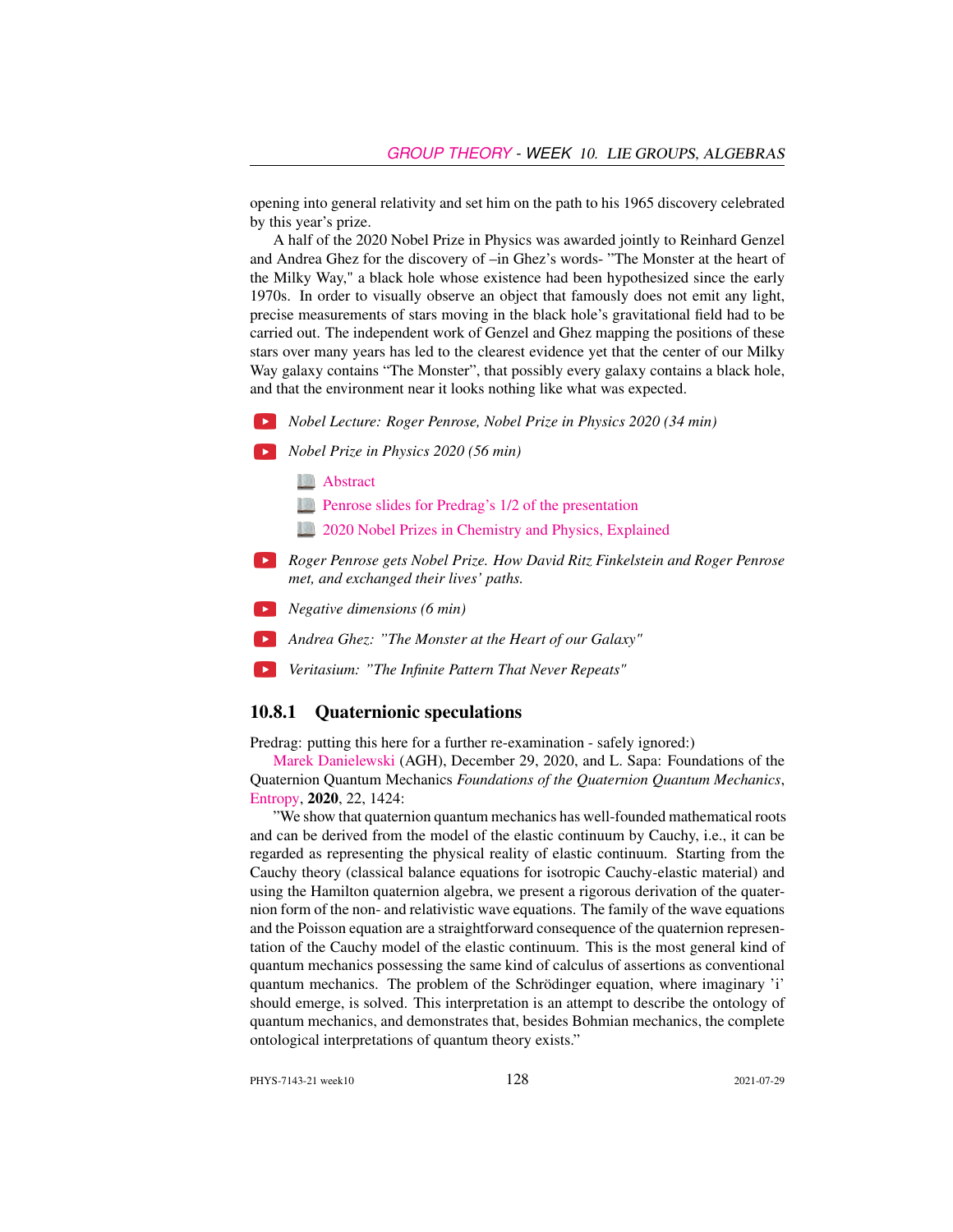opening into general relativity and set him on the path to his 1965 discovery celebrated by this year's prize.

A half of the 2020 Nobel Prize in Physics was awarded jointly to Reinhard Genzel and Andrea Ghez for the discovery of –in Ghez's words- "The Monster at the heart of the Milky Way," a black hole whose existence had been hypothesized since the early 1970s. In order to visually observe an object that famously does not emit any light, precise measurements of stars moving in the black hole's gravitational field had to be carried out. The independent work of Genzel and Ghez mapping the positions of these stars over many years has led to the clearest evidence yet that the center of our Milky Way galaxy contains "The Monster", that possibly every galaxy contains a black hole, and that the environment near it looks nothing like what was expected.

*Nobel Lecture: Roger Penrose, Nobel Prize in Physics 2020 (34 min)*

*Nobel Prize in Physics 2020 (56 min)*

**[Abstract](http://CoS.gatech.edu/events/understanding-2020-nobel-prize-physics-qa-0)** 

**[Penrose slides for Predrag's 1/2 of the presentation](http://ChaosBook.org/course2/videos/week12/Penrose.pdf)** 

- **[2020 Nobel Prizes in Chemistry and Physics, Explained](https://cos.gatech.edu/news/2020-nobel-prizes-chemistry-and-physics-explained-genetic-scissors-black-holes-and-milky-ways)**
- *Roger Penrose gets Nobel Prize. How David Ritz Finkelstein and Roger Penrose met, and exchanged their lives' paths.*
- *Negative dimensions (6 min)*
- *Andrea Ghez: "The Monster at the Heart of our Galaxy"*
- *Veritasium: "The Infinite Pattern That Never Repeats"*

### 10.8.1 Quaternionic speculations

Predrag: putting this here for a further re-examination - safely ignored:)

[Marek Danielewski](https://scholar.google.com/citations?user=NqzBgYcAAAAJ&hl=en&oi=ao) (AGH), December 29, 2020, and L. Sapa: Foundations of the Quaternion Quantum Mechanics *Foundations of the Quaternion Quantum Mechanics*, [Entropy,](https://doi.org/10.3390/e22121424) 2020, 22, 1424:

"We show that quaternion quantum mechanics has well-founded mathematical roots and can be derived from the model of the elastic continuum by Cauchy, i.e., it can be regarded as representing the physical reality of elastic continuum. Starting from the Cauchy theory (classical balance equations for isotropic Cauchy-elastic material) and using the Hamilton quaternion algebra, we present a rigorous derivation of the quaternion form of the non- and relativistic wave equations. The family of the wave equations and the Poisson equation are a straightforward consequence of the quaternion representation of the Cauchy model of the elastic continuum. This is the most general kind of quantum mechanics possessing the same kind of calculus of assertions as conventional quantum mechanics. The problem of the Schrödinger equation, where imaginary 'i' should emerge, is solved. This interpretation is an attempt to describe the ontology of quantum mechanics, and demonstrates that, besides Bohmian mechanics, the complete ontological interpretations of quantum theory exists."

PHYS-7143-21 week10 128 2021-07-29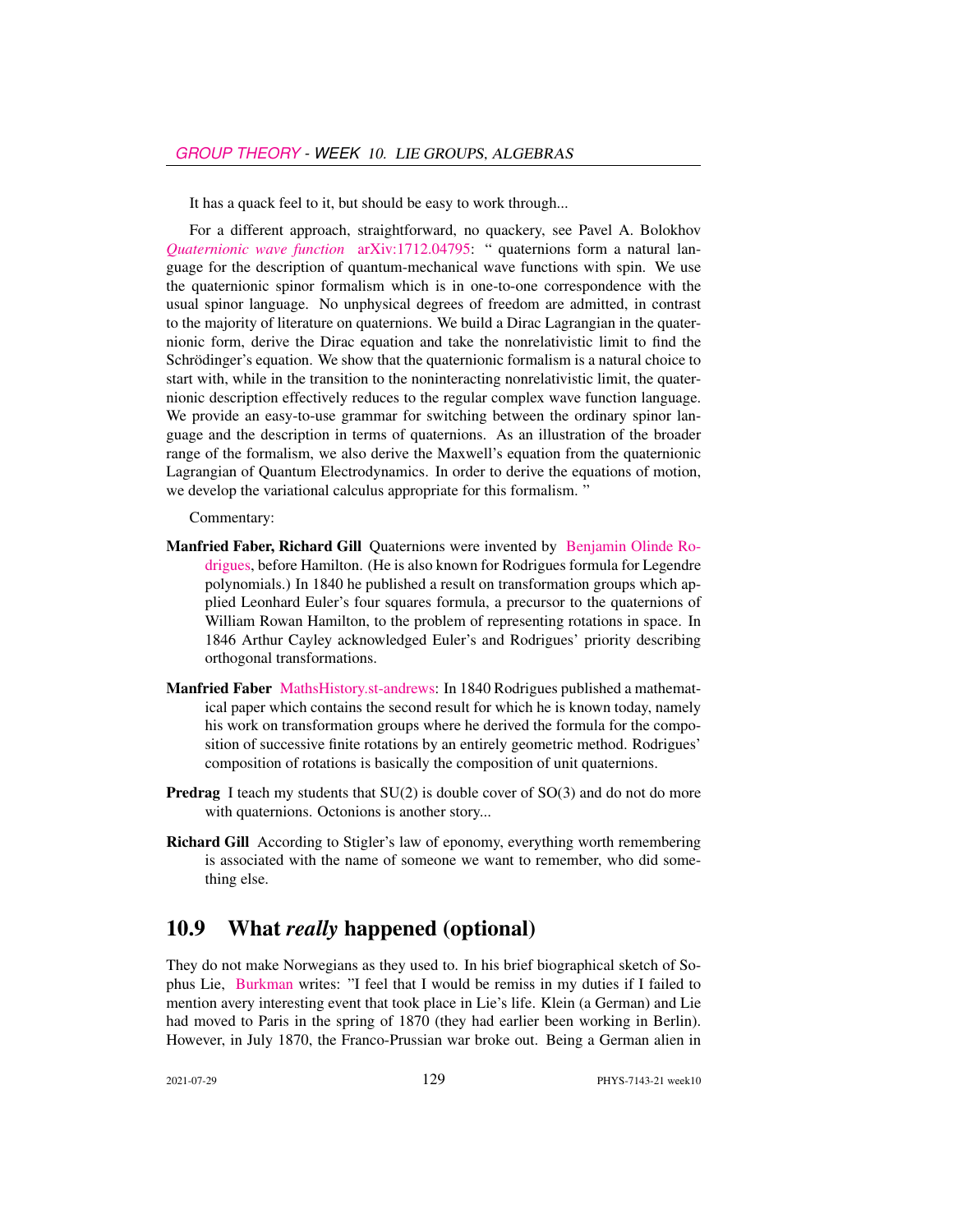It has a quack feel to it, but should be easy to work through...

For a different approach, straightforward, no quackery, see Pavel A. Bolokhov *[Quaternionic wave function](https://doi.org/10.1142/S0217751X19500015)* [arXiv:1712.04795:](http://arXiv.org/abs/1712.04795) " quaternions form a natural language for the description of quantum-mechanical wave functions with spin. We use the quaternionic spinor formalism which is in one-to-one correspondence with the usual spinor language. No unphysical degrees of freedom are admitted, in contrast to the majority of literature on quaternions. We build a Dirac Lagrangian in the quaternionic form, derive the Dirac equation and take the nonrelativistic limit to find the Schrödinger's equation. We show that the quaternionic formalism is a natural choice to start with, while in the transition to the noninteracting nonrelativistic limit, the quaternionic description effectively reduces to the regular complex wave function language. We provide an easy-to-use grammar for switching between the ordinary spinor language and the description in terms of quaternions. As an illustration of the broader range of the formalism, we also derive the Maxwell's equation from the quaternionic Lagrangian of Quantum Electrodynamics. In order to derive the equations of motion, we develop the variational calculus appropriate for this formalism. "

#### Commentary:

- Manfried Faber, Richard Gill Quaternions were invented by [Benjamin Olinde Ro](https://en.wikipedia.org/wiki/Olinde_Rodrigues)[drigues,](https://en.wikipedia.org/wiki/Olinde_Rodrigues) before Hamilton. (He is also known for Rodrigues formula for Legendre polynomials.) In 1840 he published a result on transformation groups which applied Leonhard Euler's four squares formula, a precursor to the quaternions of William Rowan Hamilton, to the problem of representing rotations in space. In 1846 Arthur Cayley acknowledged Euler's and Rodrigues' priority describing orthogonal transformations.
- Manfried Faber [MathsHistory.st-andrews:](https://mathshistory.st-andrews.ac.uk/Biographies/Rodrigues/) In 1840 Rodrigues published a mathematical paper which contains the second result for which he is known today, namely his work on transformation groups where he derived the formula for the composition of successive finite rotations by an entirely geometric method. Rodrigues' composition of rotations is basically the composition of unit quaternions.
- Predrag I teach my students that SU(2) is double cover of SO(3) and do not do more with quaternions. Octonions is another story...
- Richard Gill According to Stigler's law of eponomy, everything worth remembering is associated with the name of someone we want to remember, who did something else.

# 10.9 What *really* happened (optional)

They do not make Norwegians as they used to. In his brief biographical sketch of Sophus Lie, [Burkman](http://math.hawaii.edu/home/talks/burkman_master_talk.pdf) writes: "I feel that I would be remiss in my duties if I failed to mention avery interesting event that took place in Lie's life. Klein (a German) and Lie had moved to Paris in the spring of 1870 (they had earlier been working in Berlin). However, in July 1870, the Franco-Prussian war broke out. Being a German alien in

2021-07-29 129 PHYS-7143-21 week10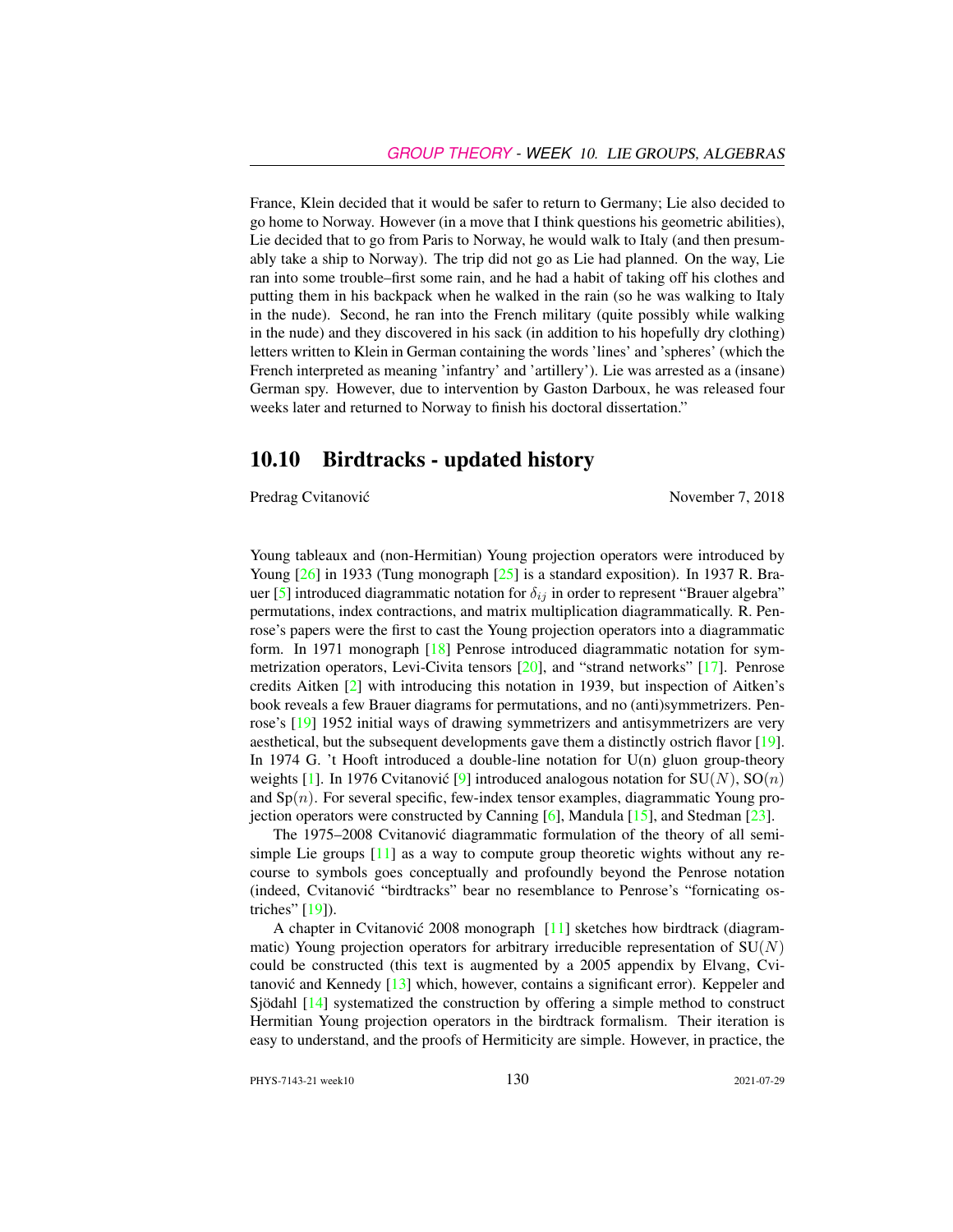France, Klein decided that it would be safer to return to Germany; Lie also decided to go home to Norway. However (in a move that I think questions his geometric abilities), Lie decided that to go from Paris to Norway, he would walk to Italy (and then presumably take a ship to Norway). The trip did not go as Lie had planned. On the way, Lie ran into some trouble–first some rain, and he had a habit of taking off his clothes and putting them in his backpack when he walked in the rain (so he was walking to Italy in the nude). Second, he ran into the French military (quite possibly while walking in the nude) and they discovered in his sack (in addition to his hopefully dry clothing) letters written to Klein in German containing the words 'lines' and 'spheres' (which the French interpreted as meaning 'infantry' and 'artillery'). Lie was arrested as a (insane) German spy. However, due to intervention by Gaston Darboux, he was released four weeks later and returned to Norway to finish his doctoral dissertation."

## <span id="page-19-0"></span>10.10 Birdtracks - updated history

Predrag Cvitanović November 7, 2018

Young tableaux and (non-Hermitian) Young projection operators were introduced by Young [\[26\]](#page-21-7) in 1933 (Tung monograph [\[25\]](#page-21-8) is a standard exposition). In 1937 R. Bra-uer [\[5\]](#page-20-6) introduced diagrammatic notation for  $\delta_{ij}$  in order to represent "Brauer algebra" permutations, index contractions, and matrix multiplication diagrammatically. R. Penrose's papers were the first to cast the Young projection operators into a diagrammatic form. In 1971 monograph [\[18\]](#page-21-9) Penrose introduced diagrammatic notation for symmetrization operators, Levi-Civita tensors [\[20\]](#page-21-10), and "strand networks" [\[17\]](#page-21-11). Penrose credits Aitken [\[2\]](#page-20-7) with introducing this notation in 1939, but inspection of Aitken's book reveals a few Brauer diagrams for permutations, and no (anti)symmetrizers. Penrose's [\[19\]](#page-21-12) 1952 initial ways of drawing symmetrizers and antisymmetrizers are very aesthetical, but the subsequent developments gave them a distinctly ostrich flavor [\[19\]](#page-21-12). In 1974 G. 't Hooft introduced a double-line notation for  $U(n)$  gluon group-theory weights [\[1\]](#page-20-8). In 1976 Cvitanovic [[9\]](#page-20-9) introduced analogous notation for  $SU(N)$ ,  $SO(n)$ and  $Sp(n)$ . For several specific, few-index tensor examples, diagrammatic Young projection operators were constructed by Canning  $[6]$ , Mandula  $[15]$ , and Stedman  $[23]$ .

The 1975–2008 Cvitanovic diagrammatic formulation of the theory of all semi- ´ simple Lie groups  $[11]$  as a way to compute group theoretic wights without any recourse to symbols goes conceptually and profoundly beyond the Penrose notation (indeed, Cvitanovic "birdtracks" bear no resemblance to Penrose's "fornicating os- ´ triches" [\[19\]](#page-21-12)).

A chapter in Cvitanović 2008 monograph  $[11]$  $[11]$  sketches how birdtrack (diagrammatic) Young projection operators for arbitrary irreducible representation of  $SU(N)$ could be constructed (this text is augmented by a 2005 appendix by Elvang, Cvitanović and Kennedy  $[13]$  $[13]$  which, however, contains a significant error). Keppeler and Sjödahl [\[14\]](#page-20-13) systematized the construction by offering a simple method to construct Hermitian Young projection operators in the birdtrack formalism. Their iteration is easy to understand, and the proofs of Hermiticity are simple. However, in practice, the

PHYS-7143-21 week10 130 2021-07-29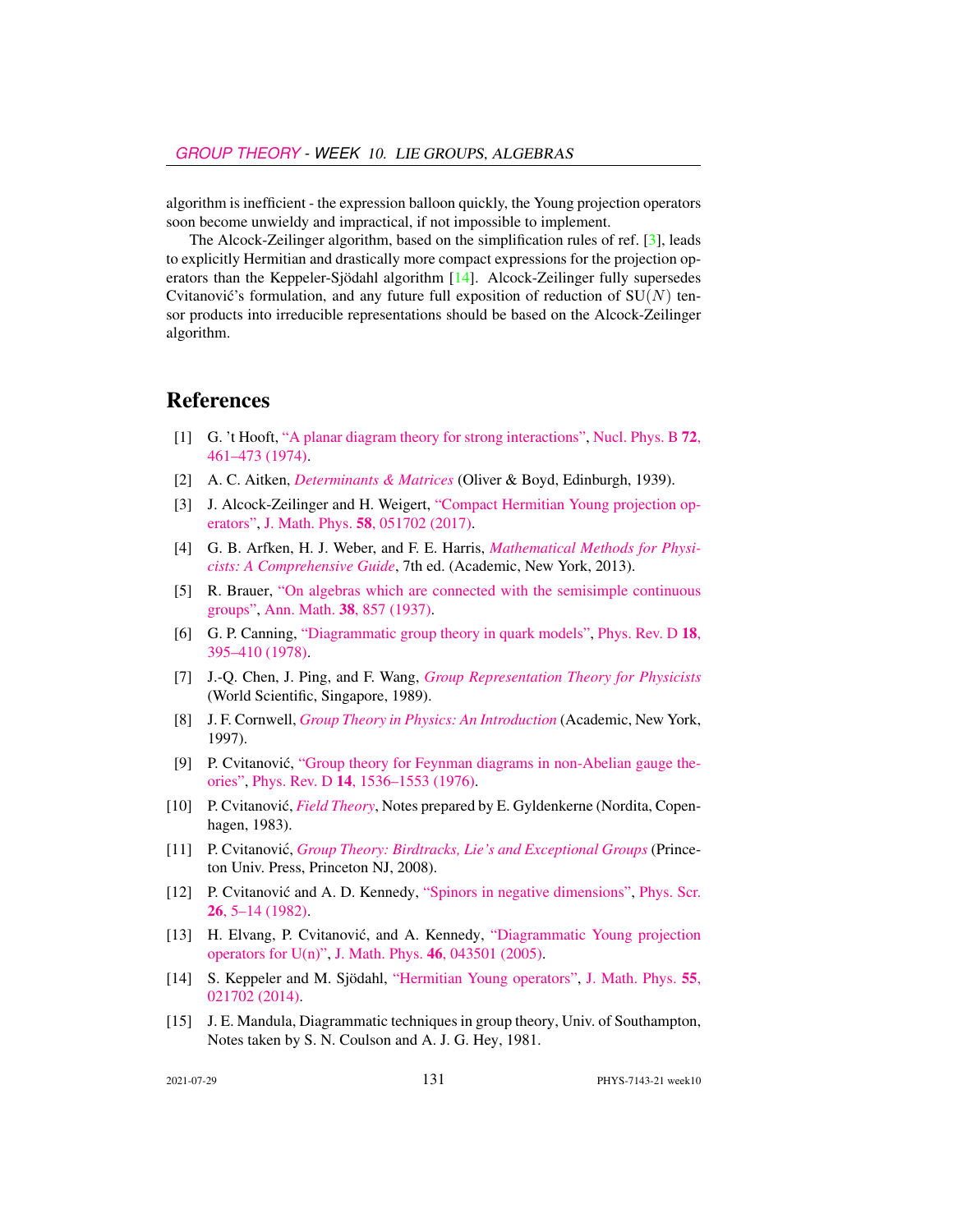algorithm is inefficient - the expression balloon quickly, the Young projection operators soon become unwieldy and impractical, if not impossible to implement.

The Alcock-Zeilinger algorithm, based on the simplification rules of ref. [\[3\]](#page-20-14), leads to explicitly Hermitian and drastically more compact expressions for the projection operators than the Keppeler-Sjödahl algorithm [\[14\]](#page-20-13). Alcock-Zeilinger fully supersedes Cvitanović's formulation, and any future full exposition of reduction of  $SU(N)$  tensor products into irreducible representations should be based on the Alcock-Zeilinger algorithm.

# References

- <span id="page-20-8"></span>[1] G. 't Hooft, ["A planar diagram theory for strong interactions",](http://dx.doi.org/10.1016/0550-3213(74)90154-0) [Nucl. Phys. B](https://doi.org/10.1016/0550-3213(74)90154-0) 72, [461–473 \(1974\).](https://doi.org/10.1016/0550-3213(74)90154-0)
- <span id="page-20-7"></span>[2] A. C. Aitken, *[Determinants & Matrices](http://books.google.com/books?vid=ISBN9781473347106)* (Oliver & Boyd, Edinburgh, 1939).
- <span id="page-20-14"></span>[3] J. Alcock-Zeilinger and H. Weigert, ["Compact Hermitian Young projection op](http://dx.doi.org/10.1063/1.4983478)[erators",](http://dx.doi.org/10.1063/1.4983478) J. Math. Phys. 58[, 051702 \(2017\).](https://doi.org/10.1063/1.4983478)
- <span id="page-20-3"></span>[4] G. B. Arfken, H. J. Weber, and F. E. Harris, *[Mathematical Methods for Physi](http://books.google.com/books?vid=ISBN9780123846549)[cists: A Comprehensive Guide](http://books.google.com/books?vid=ISBN9780123846549)*, 7th ed. (Academic, New York, 2013).
- <span id="page-20-6"></span>[5] R. Brauer, ["On algebras which are connected with the semisimple continuous](http://dx.doi.org/10.2307/1968843) [groups",](http://dx.doi.org/10.2307/1968843) Ann. Math. 38[, 857 \(1937\).](https://doi.org/10.2307/1968843)
- <span id="page-20-10"></span>[6] G. P. Canning, ["Diagrammatic group theory in quark models",](http://dx.doi.org/10.1103/PhysRevD.18.395) [Phys. Rev. D](https://doi.org/10.1103/PhysRevD.18.395) 18, [395–410 \(1978\).](https://doi.org/10.1103/PhysRevD.18.395)
- <span id="page-20-1"></span>[7] J.-Q. Chen, J. Ping, and F. Wang, *[Group Representation Theory for Physicists](http://dx.doi.org/10.1142/0262)* (World Scientific, Singapore, 1989).
- <span id="page-20-2"></span>[8] J. F. Cornwell, *[Group Theory in Physics: An Introduction](http://books.google.com/books?vid=ISBN9780121898007)* (Academic, New York, 1997).
- <span id="page-20-9"></span>[9] P. Cvitanović, ["Group theory for Feynman diagrams in non-Abelian gauge the](http://dx.doi.org/10.1103/PhysRevD.14.1536)[ories",](http://dx.doi.org/10.1103/PhysRevD.14.1536) Phys. Rev. D 14[, 1536–1553 \(1976\).](https://doi.org/10.1103/PhysRevD.14.1536)
- <span id="page-20-4"></span>[10] P. Cvitanović, *[Field Theory](http://ChaosBook.org/FieldTheory)*, Notes prepared by E. Gyldenkerne (Nordita, Copenhagen, 1983).
- <span id="page-20-0"></span>[11] P. Cvitanovic,´ *[Group Theory: Birdtracks, Lie's and Exceptional Groups](http://dx.doi.org/10.1515/9781400837670)* (Princeton Univ. Press, Princeton NJ, 2008).
- <span id="page-20-5"></span>[12] P. Cvitanović and A. D. Kennedy, ["Spinors in negative dimensions",](http://dx.doi.org/10.1088/0031-8949/26/1/001) [Phys. Scr.](https://doi.org/10.1088/0031-8949/26/1/001) 26[, 5–14 \(1982\).](https://doi.org/10.1088/0031-8949/26/1/001)
- <span id="page-20-12"></span>[13] H. Elvang, P. Cvitanović, and A. Kennedy, ["Diagrammatic Young projection](http://dx.doi.org/10.1063/1.1832753) [operators for U\(n\)",](http://dx.doi.org/10.1063/1.1832753) J. Math. Phys. 46[, 043501 \(2005\).](https://doi.org/10.1063/1.1832753)
- <span id="page-20-13"></span>[14] S. Keppeler and M. Sjödahl, ["Hermitian Young operators",](http://dx.doi.org/10.1063/1.4865177) [J. Math. Phys.](https://doi.org/10.1063/1.4865177) 55, [021702 \(2014\).](https://doi.org/10.1063/1.4865177)
- <span id="page-20-11"></span>[15] J. E. Mandula, Diagrammatic techniques in group theory, Univ. of Southampton, Notes taken by S. N. Coulson and A. J. G. Hey, 1981.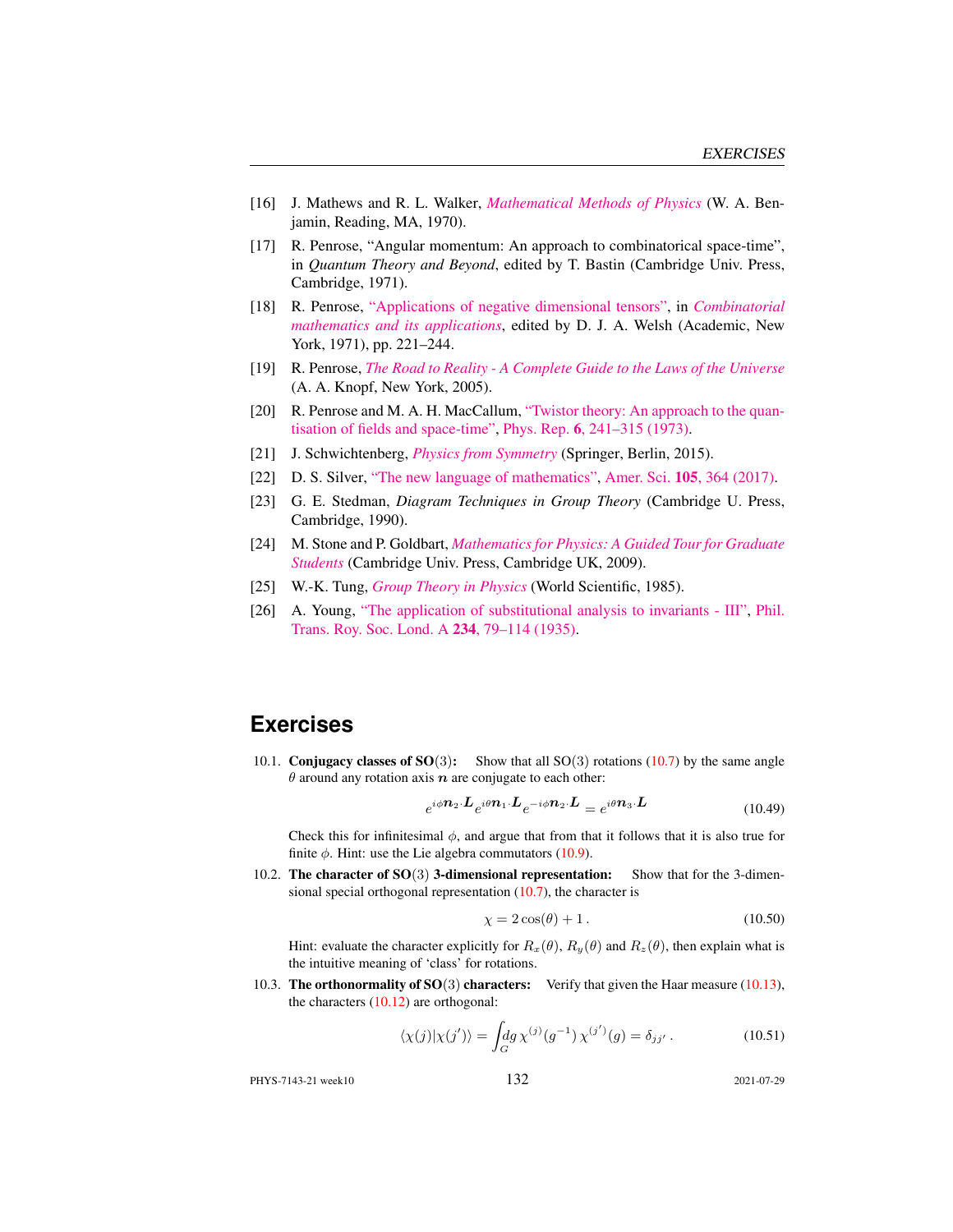- <span id="page-21-5"></span>[16] J. Mathews and R. L. Walker, *[Mathematical Methods of Physics](http://dx.doi.org/10.2307/2316002)* (W. A. Benjamin, Reading, MA, 1970).
- <span id="page-21-11"></span>[17] R. Penrose, "Angular momentum: An approach to combinatorical space-time", in *Quantum Theory and Beyond*, edited by T. Bastin (Cambridge Univ. Press, Cambridge, 1971).
- <span id="page-21-9"></span>[18] R. Penrose, ["Applications of negative dimensional tensors",](http://homepages.math.uic.edu/~kauffman/Penrose.pdf) in *[Combinatorial](http://homepages.math.uic.edu/~kauffman/Penrose.pdf) [mathematics and its applications](http://homepages.math.uic.edu/~kauffman/Penrose.pdf)*, edited by D. J. A. Welsh (Academic, New York, 1971), pp. 221–244.
- <span id="page-21-12"></span>[19] R. Penrose, *[The Road to Reality - A Complete Guide to the Laws of the Universe](http://books.google.com/books?vid=ISBN9781446418208)* (A. A. Knopf, New York, 2005).
- <span id="page-21-10"></span>[20] R. Penrose and M. A. H. MacCallum, ["Twistor theory: An approach to the quan](http://dx.doi.org/10.1016/0370-1573(73)90008-2)[tisation of fields and space-time",](http://dx.doi.org/10.1016/0370-1573(73)90008-2) Phys. Rep. 6[, 241–315 \(1973\).](https://doi.org/10.1016/0370-1573(73)90008-2)
- <span id="page-21-4"></span>[21] J. Schwichtenberg, *[Physics from Symmetry](http://dx.doi.org/10.1007/978-3-319-19201-7)* (Springer, Berlin, 2015).
- <span id="page-21-3"></span>[22] D. S. Silver, ["The new language of mathematics",](http://dx.doi.org/10.1511/2017.105.6.364) Amer. Sci. 105[, 364 \(2017\).](https://doi.org/10.1511/2017.105.6.364)
- <span id="page-21-13"></span>[23] G. E. Stedman, *Diagram Techniques in Group Theory* (Cambridge U. Press, Cambridge, 1990).
- <span id="page-21-6"></span>[24] M. Stone and P. Goldbart, *[Mathematics for Physics: A Guided Tour for Graduate](http://dx.doi.org/10.1017/cbo9780511627040) [Students](http://dx.doi.org/10.1017/cbo9780511627040)* (Cambridge Univ. Press, Cambridge UK, 2009).
- <span id="page-21-8"></span>[25] W.-K. Tung, *[Group Theory in Physics](http://dx.doi.org/10.1142/0097)* (World Scientific, 1985).
- <span id="page-21-7"></span>[26] A. Young, ["The application of substitutional analysis to invariants - III",](http://dx.doi.org/10.1098/rsta.1935.0001) [Phil.](https://doi.org/10.1098/rsta.1935.0001) [Trans. Roy. Soc. Lond. A](https://doi.org/10.1098/rsta.1935.0001) 234, 79–114 (1935).

# **Exercises**

<span id="page-21-0"></span>10.1. Conjugacy classes of  $SO(3)$ : Show that all  $SO(3)$  rotations [\(10.7\)](#page-7-1) by the same angle  $\theta$  around any rotation axis  $n$  are conjugate to each other:

$$
e^{i\phi \mathbf{n}_2 \cdot \mathbf{L}} e^{i\theta \mathbf{n}_1 \cdot \mathbf{L}} e^{-i\phi \mathbf{n}_2 \cdot \mathbf{L}} = e^{i\theta \mathbf{n}_3 \cdot \mathbf{L}} \tag{10.49}
$$

Check this for infinitesimal  $\phi$ , and argue that from that it follows that it is also true for finite  $\phi$ . Hint: use the Lie algebra commutators [\(10.9\)](#page-7-2).

<span id="page-21-1"></span>10.2. The character of SO(3) 3-dimensional representation: Show that for the 3-dimensional special orthogonal representation [\(10.7\)](#page-7-1), the character is

$$
\chi = 2\cos(\theta) + 1. \tag{10.50}
$$

Hint: evaluate the character explicitly for  $R_x(\theta)$ ,  $R_y(\theta)$  and  $R_z(\theta)$ , then explain what is the intuitive meaning of 'class' for rotations.

<span id="page-21-2"></span>10.3. The orthonormality of  $SO(3)$  characters: Verify that given the Haar measure [\(10.13\)](#page-8-1), the characters  $(10.12)$  are orthogonal:

$$
\langle \chi(j) | \chi(j') \rangle = \int_G \! dg \, \chi^{(j)}(g^{-1}) \, \chi^{(j')}(g) = \delta_{jj'} \,. \tag{10.51}
$$

PHYS-7143-21 week10 132 2021-07-29